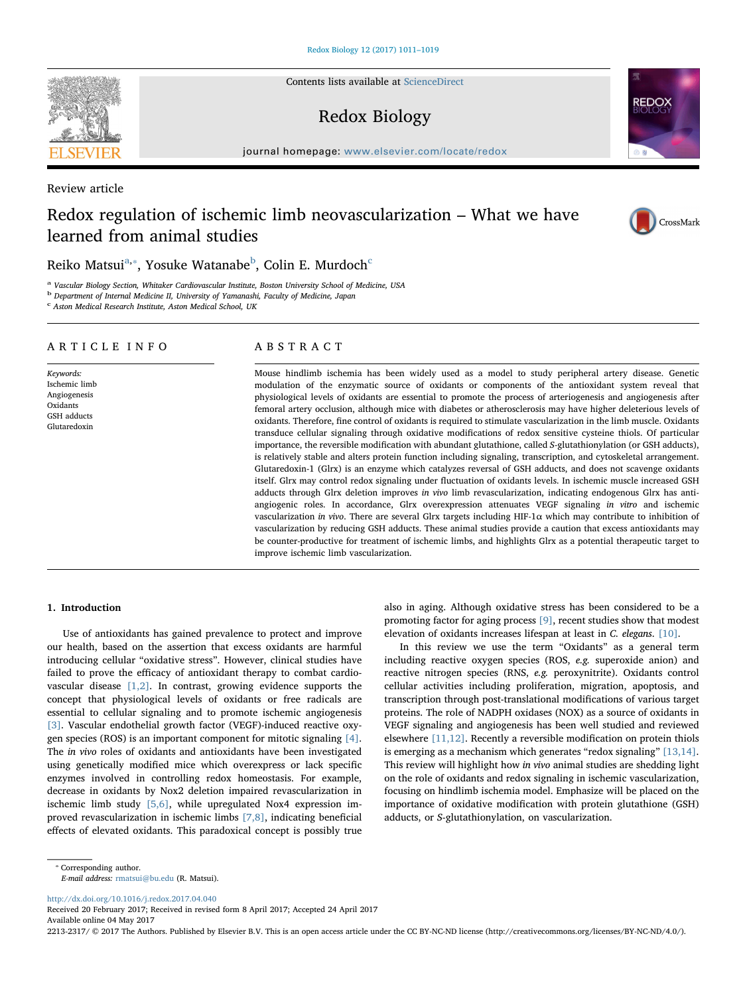Contents lists available at [ScienceDirect](http://www.sciencedirect.com/science/journal/22132317)

# Redox Biology

journal homepage: [www.elsevier.com/locate/redox](http://www.elsevier.com/locate/redox)

Review article

# Redox regulation of ischemic limb neovascularization – What we have learned from animal studies

## Reiko M[a](#page-0-0)tsui $^{\mathrm{a},*}$ , Yosuke Watana[b](#page-0-2)e $^{\mathrm{b}}$ , Colin E. Murdo[c](#page-0-3)h $^{\mathrm{c}}$

<span id="page-0-0"></span>Vascular Biology Section, Whitaker Cardiovascular Institute, Boston University School of Medicine, USA

<span id="page-0-2"></span><sup>b</sup> Department of Internal Medicine II, University of Yamanashi, Faculty of Medicine, Japan

<span id="page-0-3"></span> $c$  Aston Medical Research Institute, Aston Medical School, UK

## ARTICLE INFO

Keywords: Ischemic limb Angiogenesis Oxidants GSH adducts Glutaredoxin

## ABSTRACT

Mouse hindlimb ischemia has been widely used as a model to study peripheral artery disease. Genetic modulation of the enzymatic source of oxidants or components of the antioxidant system reveal that physiological levels of oxidants are essential to promote the process of arteriogenesis and angiogenesis after femoral artery occlusion, although mice with diabetes or atherosclerosis may have higher deleterious levels of oxidants. Therefore, fine control of oxidants is required to stimulate vascularization in the limb muscle. Oxidants transduce cellular signaling through oxidative modifications of redox sensitive cysteine thiols. Of particular importance, the reversible modification with abundant glutathione, called S-glutathionylation (or GSH adducts), is relatively stable and alters protein function including signaling, transcription, and cytoskeletal arrangement. Glutaredoxin-1 (Glrx) is an enzyme which catalyzes reversal of GSH adducts, and does not scavenge oxidants itself. Glrx may control redox signaling under fluctuation of oxidants levels. In ischemic muscle increased GSH adducts through Glrx deletion improves in vivo limb revascularization, indicating endogenous Glrx has antiangiogenic roles. In accordance, Glrx overexpression attenuates VEGF signaling in vitro and ischemic vascularization in vivo. There are several Glrx targets including HIF-1α which may contribute to inhibition of vascularization by reducing GSH adducts. These animal studies provide a caution that excess antioxidants may be counter-productive for treatment of ischemic limbs, and highlights Glrx as a potential therapeutic target to improve ischemic limb vascularization.

## 1. Introduction

Use of antioxidants has gained prevalence to protect and improve our health, based on the assertion that excess oxidants are harmful introducing cellular "oxidative stress". However, clinical studies have failed to prove the efficacy of antioxidant therapy to combat cardiovascular disease [\[1,2\]](#page-5-0). In contrast, growing evidence supports the concept that physiological levels of oxidants or free radicals are essential to cellular signaling and to promote ischemic angiogenesis [\[3\].](#page-5-1) Vascular endothelial growth factor (VEGF)-induced reactive oxygen species (ROS) is an important component for mitotic signaling [\[4\]](#page-5-2). The in vivo roles of oxidants and antioxidants have been investigated using genetically modified mice which overexpress or lack specific enzymes involved in controlling redox homeostasis. For example, decrease in oxidants by Nox2 deletion impaired revascularization in ischemic limb study [\[5,6\],](#page-5-3) while upregulated Nox4 expression improved revascularization in ischemic limbs [\[7,8\]](#page-5-4), indicating beneficial effects of elevated oxidants. This paradoxical concept is possibly true

also in aging. Although oxidative stress has been considered to be a promoting factor for aging process [\[9\],](#page-5-5) recent studies show that modest elevation of oxidants increases lifespan at least in C. elegans. [\[10\].](#page-5-6)

In this review we use the term "Oxidants" as a general term including reactive oxygen species (ROS, e.g. superoxide anion) and reactive nitrogen species (RNS, e.g. peroxynitrite). Oxidants control cellular activities including proliferation, migration, apoptosis, and transcription through post-translational modifications of various target proteins. The role of NADPH oxidases (NOX) as a source of oxidants in VEGF signaling and angiogenesis has been well studied and reviewed elsewhere [\[11,12\].](#page-6-0) Recently a reversible modification on protein thiols is emerging as a mechanism which generates "redox signaling" [\[13,14\]](#page-6-1). This review will highlight how in vivo animal studies are shedding light on the role of oxidants and redox signaling in ischemic vascularization, focusing on hindlimb ischemia model. Emphasize will be placed on the importance of oxidative modification with protein glutathione (GSH) adducts, or S-glutathionylation, on vascularization.

E-mail address: [rmatsui@bu.edu](mailto:rmatsui@bu.edu) (R. Matsui).

<http://dx.doi.org/10.1016/j.redox.2017.04.040>

Received 20 February 2017; Received in revised form 8 April 2017; Accepted 24 April 2017 Available online 04 May 2017

2213-2317/ © 2017 The Authors. Published by Elsevier B.V. This is an open access article under the CC BY-NC-ND license (http://creativecommons.org/licenses/BY-NC-ND/4.0/).





CrossMark

<span id="page-0-1"></span><sup>⁎</sup> Corresponding author.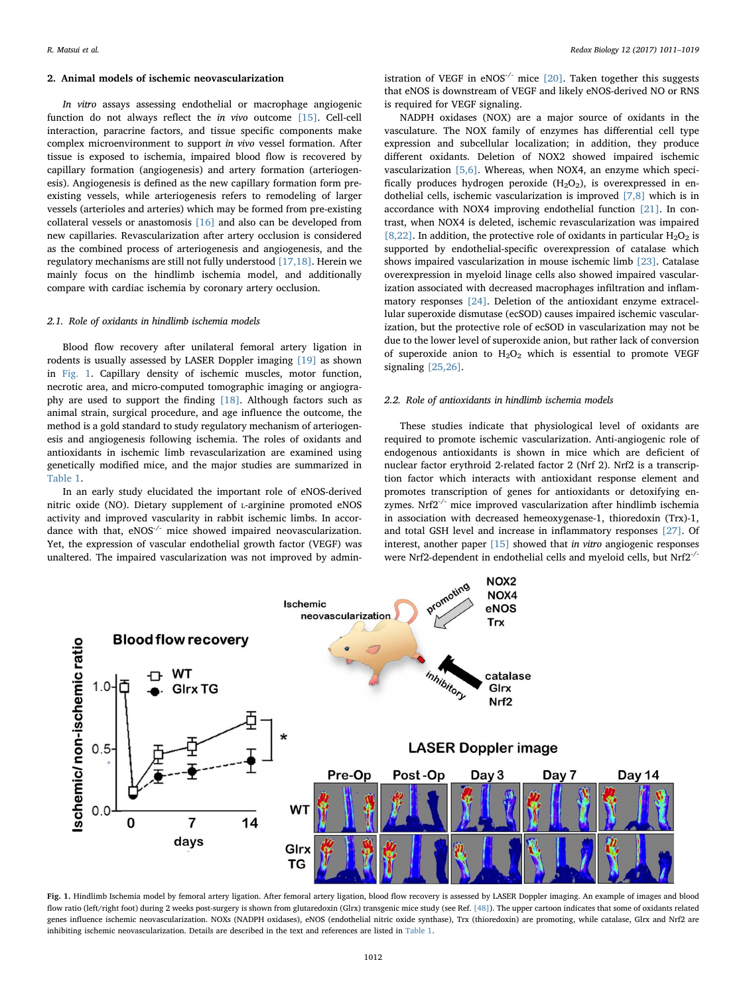#### 2. Animal models of ischemic neovascularization

In vitro assays assessing endothelial or macrophage angiogenic function do not always reflect the in vivo outcome [\[15\]](#page-6-2). Cell-cell interaction, paracrine factors, and tissue specific components make complex microenvironment to support in vivo vessel formation. After tissue is exposed to ischemia, impaired blood flow is recovered by capillary formation (angiogenesis) and artery formation (arteriogenesis). Angiogenesis is defined as the new capillary formation form preexisting vessels, while arteriogenesis refers to remodeling of larger vessels (arterioles and arteries) which may be formed from pre-existing collateral vessels or anastomosis [\[16\]](#page-6-3) and also can be developed from new capillaries. Revascularization after artery occlusion is considered as the combined process of arteriogenesis and angiogenesis, and the regulatory mechanisms are still not fully understood [\[17,18\].](#page-6-4) Herein we mainly focus on the hindlimb ischemia model, and additionally compare with cardiac ischemia by coronary artery occlusion.

#### 2.1. Role of oxidants in hindlimb ischemia models

Blood flow recovery after unilateral femoral artery ligation in rodents is usually assessed by LASER Doppler imaging [\[19\]](#page-6-5) as shown in [Fig. 1.](#page-1-0) Capillary density of ischemic muscles, motor function, necrotic area, and micro-computed tomographic imaging or angiography are used to support the finding [\[18\]](#page-6-6). Although factors such as animal strain, surgical procedure, and age influence the outcome, the method is a gold standard to study regulatory mechanism of arteriogenesis and angiogenesis following ischemia. The roles of oxidants and antioxidants in ischemic limb revascularization are examined using genetically modified mice, and the major studies are summarized in [Table 1](#page-2-0).

In an early study elucidated the important role of eNOS-derived nitric oxide (NO). Dietary supplement of L-arginine promoted eNOS activity and improved vascularity in rabbit ischemic limbs. In accordance with that, eNOS<sup>-/-</sup> mice showed impaired neovascularization. Yet, the expression of vascular endothelial growth factor (VEGF) was unaltered. The impaired vascularization was not improved by administration of VEGF in eNOS $^{\text{-}}$  mice [\[20\]](#page-6-7). Taken together this suggests that eNOS is downstream of VEGF and likely eNOS-derived NO or RNS is required for VEGF signaling.

NADPH oxidases (NOX) are a major source of oxidants in the vasculature. The NOX family of enzymes has differential cell type expression and subcellular localization; in addition, they produce different oxidants. Deletion of NOX2 showed impaired ischemic vascularization [\[5,6\]](#page-5-3). Whereas, when NOX4, an enzyme which specifically produces hydrogen peroxide  $(H<sub>2</sub>O<sub>2</sub>)$ , is overexpressed in endothelial cells, ischemic vascularization is improved [\[7,8\]](#page-5-4) which is in accordance with NOX4 improving endothelial function [\[21\].](#page-6-8) In contrast, when NOX4 is deleted, ischemic revascularization was impaired [\[8,22\]](#page-5-7). In addition, the protective role of oxidants in particular  $H_2O_2$  is supported by endothelial-specific overexpression of catalase which shows impaired vascularization in mouse ischemic limb [\[23\].](#page-6-9) Catalase overexpression in myeloid linage cells also showed impaired vascularization associated with decreased macrophages infiltration and inflammatory responses [\[24\]](#page-6-10). Deletion of the antioxidant enzyme extracellular superoxide dismutase (ecSOD) causes impaired ischemic vascularization, but the protective role of ecSOD in vascularization may not be due to the lower level of superoxide anion, but rather lack of conversion of superoxide anion to  $H_2O_2$  which is essential to promote VEGF signaling [\[25,26\].](#page-6-11)

### 2.2. Role of antioxidants in hindlimb ischemia models

These studies indicate that physiological level of oxidants are required to promote ischemic vascularization. Anti-angiogenic role of endogenous antioxidants is shown in mice which are deficient of nuclear factor erythroid 2-related factor 2 (Nrf 2). Nrf2 is a transcription factor which interacts with antioxidant response element and promotes transcription of genes for antioxidants or detoxifying enzymes. Nrf2<sup>-/-</sup> mice improved vascularization after hindlimb ischemia in association with decreased hemeoxygenase-1, thioredoxin (Trx)-1, and total GSH level and increase in inflammatory responses [\[27\].](#page-6-12) Of interest, another paper [\[15\]](#page-6-2) showed that in vitro angiogenic responses were Nrf2-dependent in endothelial cells and myeloid cells, but Nrf2-/-

<span id="page-1-0"></span>

Fig. 1. Hindlimb Ischemia model by femoral artery ligation. After femoral artery ligation, blood flow recovery is assessed by LASER Doppler imaging. An example of images and blood flow ratio (left/right foot) during 2 weeks post-surgery is shown from glutaredoxin (Glrx) transgenic mice study (see Ref. [\[48\]](#page-6-13)). The upper cartoon indicates that some of oxidants related genes influence ischemic neovascularization. NOXs (NADPH oxidases), eNOS (endothelial nitric oxide synthase), Trx (thioredoxin) are promoting, while catalase, Glrx and Nrf2 are inhibiting ischemic neovascularization. Details are described in the text and references are listed in [Table 1.](#page-2-0)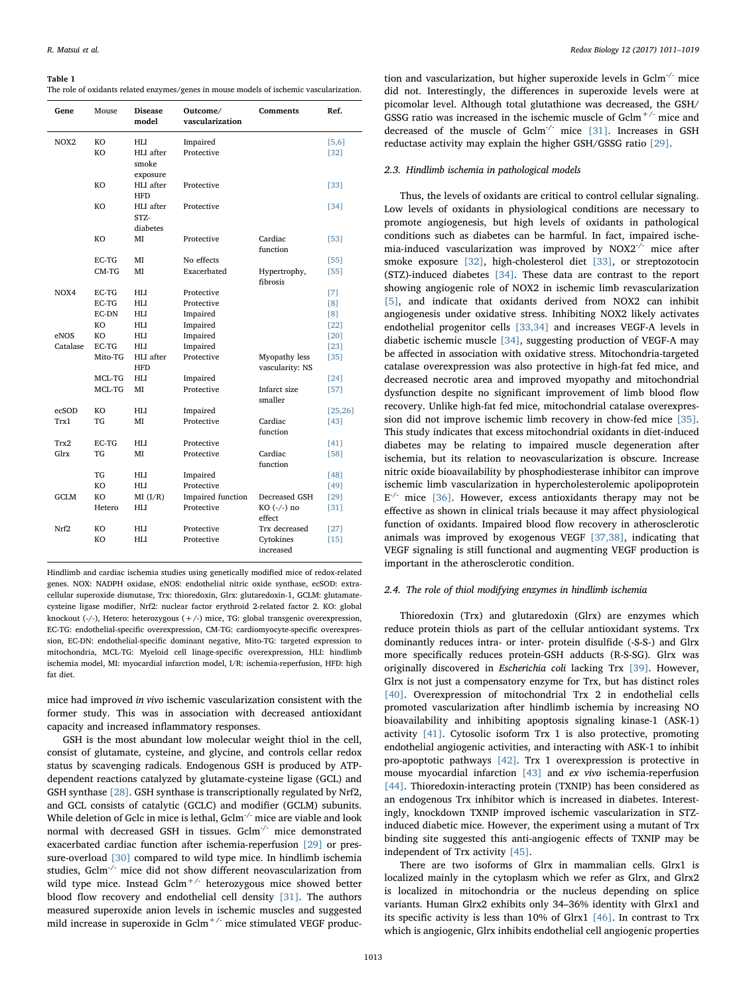#### <span id="page-2-0"></span>Table 1

The role of oxidants related enzymes/genes in mouse models of ischemic vascularization.

| Gene             | Mouse   | <b>Disease</b><br>model | Outcome/<br>vascularization | <b>Comments</b> | Ref.     |
|------------------|---------|-------------------------|-----------------------------|-----------------|----------|
| NOX <sub>2</sub> | KO      | HLI                     | Impaired                    |                 | $[5,6]$  |
|                  | KO      | HLI after               | Protective                  |                 | [32]     |
|                  |         | smoke                   |                             |                 |          |
|                  |         | exposure                |                             |                 |          |
|                  | KO      | HLI after               | Protective                  |                 | $[33]$   |
|                  |         | <b>HFD</b>              |                             |                 |          |
|                  | KO      | HLI after               | Protective                  |                 | [34]     |
|                  |         | STZ-                    |                             |                 |          |
|                  |         | diabetes                |                             |                 |          |
|                  | KO      | MI                      | Protective                  | Cardiac         | [53]     |
|                  |         |                         |                             | function        |          |
|                  | EC-TG   | MI                      | No effects                  |                 | $[55]$   |
|                  | $CM-TG$ | MI                      | Exacerbated                 | Hypertrophy,    | $[55]$   |
|                  |         |                         |                             | fibrosis        |          |
| NO <sub>X4</sub> | EC-TG   | HLI                     | Protective                  |                 | $[7]$    |
|                  | EC-TG   | HLI                     | Protective                  |                 | [8]      |
|                  | EC-DN   | HLI                     | Impaired                    |                 | [8]      |
|                  | KO.     | HLI                     | Impaired                    |                 | $[22]$   |
| eNOS             | KO.     | HLI                     | Impaired                    |                 | $[20]$   |
| Catalase         | EC-TG   | HLI                     | Impaired                    |                 | $[23]$   |
|                  | Mito-TG | HLI after               | Protective                  | Myopathy less   | $[35]$   |
|                  |         | <b>HFD</b>              |                             | vascularity: NS |          |
|                  | MCL-TG  | HLI                     | Impaired                    |                 | $[24]$   |
|                  | MCL-TG  | MI                      | Protective                  | Infarct size    | $[57]$   |
|                  |         |                         |                             | smaller         |          |
| ecSOD            | KO      | HLI                     | Impaired                    |                 | [25, 26] |
| Trx1             | TG      | MI                      | Protective                  | Cardiac         | $[43]$   |
|                  |         |                         |                             | function        |          |
| Trx2             | EC-TG   | HLI                     | Protective                  |                 | [41]     |
| Glrx             | TG      | MI                      | Protective                  | Cardiac         | [58]     |
|                  |         |                         |                             | function        |          |
|                  | TG      | HLI                     | Impaired                    |                 | $[48]$   |
|                  | KO      | HLI                     | Protective                  |                 | $[49]$   |
| <b>GCLM</b>      | KO      | MI(I/R)                 | Impaired function           | Decreased GSH   | $[29]$   |
|                  | Hetero  | HLI                     | Protective                  | KO (-/-) no     | $[31]$   |
|                  |         |                         |                             | effect          |          |
| Nrf2             | KO      | HLI                     | Protective                  | Trx decreased   | $[27]$   |
|                  | KO      | HLI                     | Protective                  | Cytokines       | [15]     |
|                  |         |                         |                             | increased       |          |

Hindlimb and cardiac ischemia studies using genetically modified mice of redox-related genes. NOX: NADPH oxidase, eNOS: endothelial nitric oxide synthase, ecSOD: extracellular superoxide dismutase, Trx: thioredoxin, Glrx: glutaredoxin-1, GCLM: glutamatecysteine ligase modifier, Nrf2: nuclear factor erythroid 2-related factor 2. KO: global knockout (-/-), Hetero: heterozygous (+/-) mice, TG: global transgenic overexpression, EC-TG: endothelial-specific overexpression, CM-TG: cardiomyocyte-specific overexpression, EC-DN: endothelial-specific dominant negative, Mito-TG: targeted expression to mitochondria, MCL-TG: Myeloid cell linage-specific overexpression, HLI: hindlimb ischemia model, MI: myocardial infarction model, I/R: ischemia-reperfusion, HFD: high fat diet.

mice had improved in vivo ischemic vascularization consistent with the former study. This was in association with decreased antioxidant capacity and increased inflammatory responses.

GSH is the most abundant low molecular weight thiol in the cell, consist of glutamate, cysteine, and glycine, and controls cellar redox status by scavenging radicals. Endogenous GSH is produced by ATPdependent reactions catalyzed by glutamate-cysteine ligase (GCL) and GSH synthase [\[28\]](#page-6-14). GSH synthase is transcriptionally regulated by Nrf2, and GCL consists of catalytic (GCLC) and modifier (GCLM) subunits. While deletion of Gclc in mice is lethal, Gclm<sup>-/-</sup> mice are viable and look normal with decreased GSH in tissues. Gclm<sup>-/-</sup> mice demonstrated exacerbated cardiac function after ischemia-reperfusion [\[29\]](#page-6-15) or pressure-overload [\[30\]](#page-6-16) compared to wild type mice. In hindlimb ischemia studies, Gclm-/- mice did not show different neovascularization from wild type mice. Instead  $Gclm^{+/}$  heterozygous mice showed better blood flow recovery and endothelial cell density [\[31\].](#page-6-17) The authors measured superoxide anion levels in ischemic muscles and suggested mild increase in superoxide in Gclm<sup>+/-</sup> mice stimulated VEGF produc-

tion and vascularization, but higher superoxide levels in Gclm-/- mice did not. Interestingly, the differences in superoxide levels were at picomolar level. Although total glutathione was decreased, the GSH/ GSSG ratio was increased in the ischemic muscle of Gclm+/- mice and decreased of the muscle of Gclm-/- mice [\[31\]](#page-6-17). Increases in GSH reductase activity may explain the higher GSH/GSSG ratio [\[29\].](#page-6-15)

### 2.3. Hindlimb ischemia in pathological models

Thus, the levels of oxidants are critical to control cellular signaling. Low levels of oxidants in physiological conditions are necessary to promote angiogenesis, but high levels of oxidants in pathological conditions such as diabetes can be harmful. In fact, impaired ischemia-induced vascularization was improved by NOX2-/- mice after smoke exposure [\[32\],](#page-6-18) high-cholesterol diet [\[33\]](#page-6-19), or streptozotocin (STZ)-induced diabetes [\[34\]](#page-6-20). These data are contrast to the report showing angiogenic role of NOX2 in ischemic limb revascularization [\[5\],](#page-5-3) and indicate that oxidants derived from NOX2 can inhibit angiogenesis under oxidative stress. Inhibiting NOX2 likely activates endothelial progenitor cells [\[33,34\]](#page-6-19) and increases VEGF-A levels in diabetic ischemic muscle [\[34\],](#page-6-20) suggesting production of VEGF-A may be affected in association with oxidative stress. Mitochondria-targeted catalase overexpression was also protective in high-fat fed mice, and decreased necrotic area and improved myopathy and mitochondrial dysfunction despite no significant improvement of limb blood flow recovery. Unlike high-fat fed mice, mitochondrial catalase overexpression did not improve ischemic limb recovery in chow-fed mice [\[35\]](#page-6-21). This study indicates that excess mitochondrial oxidants in diet-induced diabetes may be relating to impaired muscle degeneration after ischemia, but its relation to neovascularization is obscure. Increase nitric oxide bioavailability by phosphodiesterase inhibitor can improve ischemic limb vascularization in hypercholesterolemic apolipoprotein  $E^{-/-}$  mice [\[36\]](#page-6-22). However, excess antioxidants therapy may not be effective as shown in clinical trials because it may affect physiological function of oxidants. Impaired blood flow recovery in atherosclerotic animals was improved by exogenous VEGF [\[37,38\],](#page-6-23) indicating that VEGF signaling is still functional and augmenting VEGF production is important in the atherosclerotic condition.

#### 2.4. The role of thiol modifying enzymes in hindlimb ischemia

Thioredoxin (Trx) and glutaredoxin (Glrx) are enzymes which reduce protein thiols as part of the cellular antioxidant systems. Trx dominantly reduces intra- or inter- protein disulfide (-S-S-) and Glrx more specifically reduces protein-GSH adducts (R-S-SG). Glrx was originally discovered in Escherichia coli lacking Trx [\[39\]](#page-6-24). However, Glrx is not just a compensatory enzyme for Trx, but has distinct roles [\[40\]](#page-6-25). Overexpression of mitochondrial Trx 2 in endothelial cells promoted vascularization after hindlimb ischemia by increasing NO bioavailability and inhibiting apoptosis signaling kinase-1 (ASK-1) activity [\[41\].](#page-6-26) Cytosolic isoform Trx 1 is also protective, promoting endothelial angiogenic activities, and interacting with ASK-1 to inhibit pro-apoptotic pathways [\[42\]](#page-6-27). Trx 1 overexpression is protective in mouse myocardial infarction [\[43\]](#page-6-28) and ex vivo ischemia-reperfusion [\[44\]](#page-6-29). Thioredoxin-interacting protein (TXNIP) has been considered as an endogenous Trx inhibitor which is increased in diabetes. Interestingly, knockdown TXNIP improved ischemic vascularization in STZinduced diabetic mice. However, the experiment using a mutant of Trx binding site suggested this anti-angiogenic effects of TXNIP may be independent of Trx activity [\[45\]](#page-6-30).

There are two isoforms of Glrx in mammalian cells. Glrx1 is localized mainly in the cytoplasm which we refer as Glrx, and Glrx2 is localized in mitochondria or the nucleus depending on splice variants. Human Glrx2 exhibits only 34–36% identity with Glrx1 and its specific activity is less than 10% of Glrx1 [\[46\]](#page-6-31). In contrast to Trx which is angiogenic, Glrx inhibits endothelial cell angiogenic properties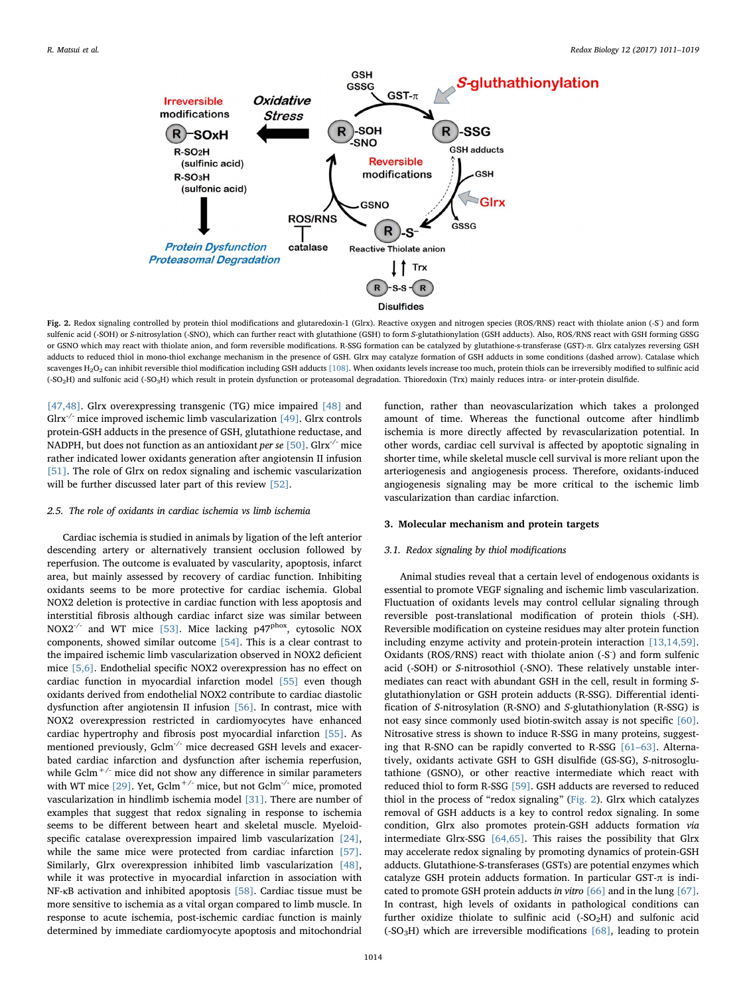<span id="page-3-0"></span>

Fig. 2. Redox signaling controlled by protein thiol modifications and glutaredoxin-1 (Glrx). Reactive oxygen and nitrogen species (ROS/RNS) react with thiolate anion (-S<sup>-</sup>) and form sulfenic acid (-SOH) or S-nitrosylation (-SNO), which can further react with glutathione (GSH) to form S-glutathionylation (GSH adducts). Also, ROS/RNS react with GSH forming GSSG or GSNO which may react with thiolate anion, and form reversible modifications. R-SSG formation can be catalyzed by glutathione-s-transferase (GST)-π. Glrx catalyzes reversing GSH adducts to reduced thiol in mono-thiol exchange mechanism in the presence of GSH. Glrx may catalyze formation of GSH adducts in some conditions (dashed arrow). Catalase which scavenges H<sub>2</sub>O<sub>2</sub> can inhibit reversible thiol modification including GSH adducts [\[108\]](#page-8-0). When oxidants levels increase too much, protein thiols can be irreversibly modified to sulfinic acid (-SO2H) and sulfonic acid (-SO3H) which result in protein dysfunction or proteasomal degradation. Thioredoxin (Trx) mainly reduces intra- or inter-protein disulfide.

[\[47,48\].](#page-6-34) Glrx overexpressing transgenic (TG) mice impaired [\[48\]](#page-6-13) and Glrx $'$  mice improved ischemic limb vascularization [\[49\].](#page-6-33) Glrx controls protein-GSH adducts in the presence of GSH, glutathione reductase, and NADPH, but does not function as an antioxidant *per se* [\[50\].](#page-6-35) Glrx<sup>-/-</sup> mice rather indicated lower oxidants generation after angiotensin II infusion [\[51\]](#page-7-4). The role of Glrx on redox signaling and ischemic vascularization will be further discussed later part of this review [\[52\].](#page-7-5)

## 2.5. The role of oxidants in cardiac ischemia vs limb ischemia

Cardiac ischemia is studied in animals by ligation of the left anterior descending artery or alternatively transient occlusion followed by reperfusion. The outcome is evaluated by vascularity, apoptosis, infarct area, but mainly assessed by recovery of cardiac function. Inhibiting oxidants seems to be more protective for cardiac ischemia. Global NOX2 deletion is protective in cardiac function with less apoptosis and interstitial fibrosis although cardiac infarct size was similar between NOX2<sup>-/-</sup> and WT mice [\[53\].](#page-7-0) Mice lacking p47<sup>phox</sup>, cytosolic NOX components, showed similar outcome [\[54\]](#page-7-6). This is a clear contrast to the impaired ischemic limb vascularization observed in NOX2 deficient mice [\[5,6\]](#page-5-3). Endothelial specific NOX2 overexpression has no effect on cardiac function in myocardial infarction model [\[55\]](#page-7-1) even though oxidants derived from endothelial NOX2 contribute to cardiac diastolic dysfunction after angiotensin II infusion [\[56\]](#page-7-7). In contrast, mice with NOX2 overexpression restricted in cardiomyocytes have enhanced cardiac hypertrophy and fibrosis post myocardial infarction [\[55\]](#page-7-1). As mentioned previously, Gclm<sup>-/-</sup> mice decreased GSH levels and exacerbated cardiac infarction and dysfunction after ischemia reperfusion, while  $Gclm^{+/}$  mice did not show any difference in similar parameters with WT mice  $[29]$ . Yet, Gclm<sup>+/-</sup> mice, but not Gclm<sup>-/-</sup> mice, promoted vascularization in hindlimb ischemia model [\[31\].](#page-6-17) There are number of examples that suggest that redox signaling in response to ischemia seems to be different between heart and skeletal muscle. Myeloidspecific catalase overexpression impaired limb vascularization [\[24\]](#page-6-10), while the same mice were protected from cardiac infarction [\[57\]](#page-7-2). Similarly, Glrx overexpression inhibited limb vascularization [\[48\]](#page-6-13), while it was protective in myocardial infarction in association with NF-κB activation and inhibited apoptosis [\[58\].](#page-7-3) Cardiac tissue must be more sensitive to ischemia as a vital organ compared to limb muscle. In response to acute ischemia, post-ischemic cardiac function is mainly determined by immediate cardiomyocyte apoptosis and mitochondrial

function, rather than neovascularization which takes a prolonged amount of time. Whereas the functional outcome after hindlimb ischemia is more directly affected by revascularization potential. In other words, cardiac cell survival is affected by apoptotic signaling in shorter time, while skeletal muscle cell survival is more reliant upon the arteriogenesis and angiogenesis process. Therefore, oxidants-induced angiogenesis signaling may be more critical to the ischemic limb vascularization than cardiac infarction.

## 3. Molecular mechanism and protein targets

### 3.1. Redox signaling by thiol modifications

Animal studies reveal that a certain level of endogenous oxidants is essential to promote VEGF signaling and ischemic limb vascularization. Fluctuation of oxidants levels may control cellular signaling through reversible post-translational modification of protein thiols (-SH). Reversible modification on cysteine residues may alter protein function including enzyme activity and protein-protein interaction [\[13,14,59\]](#page-6-1). Oxidants (ROS/RNS) react with thiolate anion (-S<sup>-</sup>) and form sulfenic acid (-SOH) or S-nitrosothiol (-SNO). These relatively unstable intermediates can react with abundant GSH in the cell, result in forming Sglutathionylation or GSH protein adducts (R-SSG). Differential identification of S-nitrosylation (R-SNO) and S-glutathionylation (R-SSG) is not easy since commonly used biotin-switch assay is not specific [\[60\]](#page-7-8). Nitrosative stress is shown to induce R-SSG in many proteins, suggesting that R-SNO can be rapidly converted to R-SSG [\[61](#page-7-9)–63]. Alternatively, oxidants activate GSH to GSH disulfide (GS-SG), S-nitrosoglutathione (GSNO), or other reactive intermediate which react with reduced thiol to form R-SSG [\[59\]](#page-7-10). GSH adducts are reversed to reduced thiol in the process of "redox signaling" [\(Fig. 2\)](#page-3-0). Glrx which catalyzes removal of GSH adducts is a key to control redox signaling. In some condition, Glrx also promotes protein-GSH adducts formation via intermediate Glrx-SSG [\[64,65\].](#page-7-11) This raises the possibility that Glrx may accelerate redox signaling by promoting dynamics of protein-GSH adducts. Glutathione-S-transferases (GSTs) are potential enzymes which catalyze GSH protein adducts formation. In particular GST-π is indicated to promote GSH protein adducts in vitro [\[66\]](#page-7-12) and in the lung [\[67\]](#page-7-13). In contrast, high levels of oxidants in pathological conditions can further oxidize thiolate to sulfinic acid  $(-SO<sub>2</sub>H)$  and sulfonic acid (-SO<sub>3</sub>H) which are irreversible modifications  $[68]$ , leading to protein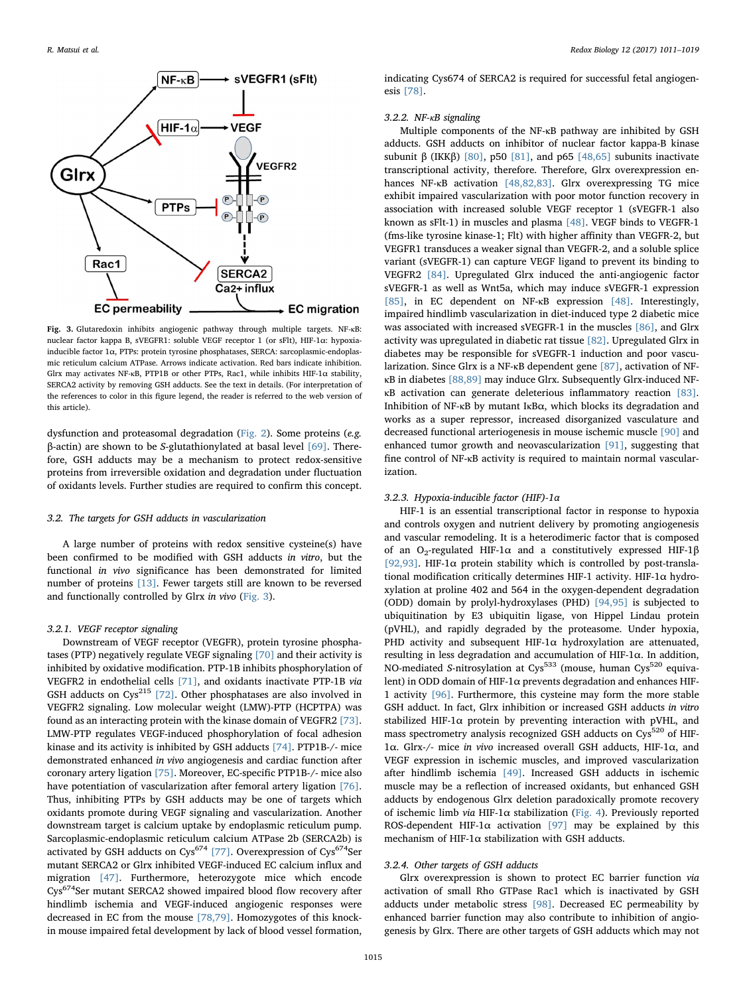<span id="page-4-0"></span>

Fig. 3. Glutaredoxin inhibits angiogenic pathway through multiple targets. NF-κB: nuclear factor kappa B, sVEGFR1: soluble VEGF receptor 1 (or sFlt), HIF-1α: hypoxiainducible factor 1α, PTPs: protein tyrosine phosphatases, SERCA: sarcoplasmic-endoplasmic reticulum calcium ATPase. Arrows indicate activation. Red bars indicate inhibition. Glrx may activates NF-κB, PTP1B or other PTPs, Rac1, while inhibits HIF-1α stability, SERCA2 activity by removing GSH adducts. See the text in details. (For interpretation of the references to color in this figure legend, the reader is referred to the web version of this article).

dysfunction and proteasomal degradation ([Fig. 2\)](#page-3-0). Some proteins (e.g. β-actin) are shown to be S-glutathionylated at basal level [\[69\].](#page-7-15) Therefore, GSH adducts may be a mechanism to protect redox-sensitive proteins from irreversible oxidation and degradation under fluctuation of oxidants levels. Further studies are required to confirm this concept.

#### 3.2. The targets for GSH adducts in vascularization

A large number of proteins with redox sensitive cysteine(s) have been confirmed to be modified with GSH adducts in vitro, but the functional in vivo significance has been demonstrated for limited number of proteins [\[13\].](#page-6-1) Fewer targets still are known to be reversed and functionally controlled by Glrx in vivo [\(Fig. 3](#page-4-0)).

#### 3.2.1. VEGF receptor signaling

Downstream of VEGF receptor (VEGFR), protein tyrosine phosphatases (PTP) negatively regulate VEGF signaling [\[70\]](#page-7-16) and their activity is inhibited by oxidative modification. PTP-1B inhibits phosphorylation of VEGFR2 in endothelial cells [\[71\]](#page-7-17), and oxidants inactivate PTP-1B via GSH adducts on Cys<sup>215</sup> [\[72\]](#page-7-18). Other phosphatases are also involved in VEGFR2 signaling. Low molecular weight (LMW)-PTP (HCPTPA) was found as an interacting protein with the kinase domain of VEGFR2 [\[73\]](#page-7-19). LMW-PTP regulates VEGF-induced phosphorylation of focal adhesion kinase and its activity is inhibited by GSH adducts [\[74\].](#page-7-20) PTP1B-/- mice demonstrated enhanced in vivo angiogenesis and cardiac function after coronary artery ligation [\[75\].](#page-7-21) Moreover, EC-specific PTP1B-/- mice also have potentiation of vascularization after femoral artery ligation [\[76\]](#page-7-22). Thus, inhibiting PTPs by GSH adducts may be one of targets which oxidants promote during VEGF signaling and vascularization. Another downstream target is calcium uptake by endoplasmic reticulum pump. Sarcoplasmic-endoplasmic reticulum calcium ATPase 2b (SERCA2b) is activated by GSH adducts on Cys<sup>674</sup> [\[77\].](#page-7-23) Overexpression of Cys<sup>674</sup>Ser mutant SERCA2 or Glrx inhibited VEGF-induced EC calcium influx and migration [\[47\]](#page-6-34). Furthermore, heterozygote mice which encode Cys674Ser mutant SERCA2 showed impaired blood flow recovery after hindlimb ischemia and VEGF-induced angiogenic responses were decreased in EC from the mouse [\[78,79\].](#page-7-24) Homozygotes of this knockin mouse impaired fetal development by lack of blood vessel formation,

indicating Cys674 of SERCA2 is required for successful fetal angiogenesis [\[78\].](#page-7-24)

## 3.2.2. NF-κB signaling

Multiple components of the NF-κB pathway are inhibited by GSH adducts. GSH adducts on inhibitor of nuclear factor kappa-B kinase subunit β (IKKβ) [\[80\],](#page-7-25) p50 [\[81\],](#page-7-26) and p65 [\[48,65\]](#page-6-13) subunits inactivate transcriptional activity, therefore. Therefore, Glrx overexpression enhances NF-κB activation [\[48,82,83\]](#page-6-13). Glrx overexpressing TG mice exhibit impaired vascularization with poor motor function recovery in association with increased soluble VEGF receptor 1 (sVEGFR-1 also known as sFlt-1) in muscles and plasma [\[48\].](#page-6-13) VEGF binds to VEGFR-1 (fms-like tyrosine kinase-1; Flt) with higher affinity than VEGFR-2, but VEGFR1 transduces a weaker signal than VEGFR-2, and a soluble splice variant (sVEGFR-1) can capture VEGF ligand to prevent its binding to VEGFR2 [\[84\]](#page-7-27). Upregulated Glrx induced the anti-angiogenic factor sVEGFR-1 as well as Wnt5a, which may induce sVEGFR-1 expression [\[85\]](#page-7-28), in EC dependent on NF-κB expression [\[48\].](#page-6-13) Interestingly, impaired hindlimb vascularization in diet-induced type 2 diabetic mice was associated with increased sVEGFR-1 in the muscles [\[86\]](#page-7-29), and Glrx activity was upregulated in diabetic rat tissue [\[82\].](#page-7-30) Upregulated Glrx in diabetes may be responsible for sVEGFR-1 induction and poor vascularization. Since Glrx is a NF-κB dependent gene [\[87\]](#page-7-31), activation of NFκB in diabetes [\[88,89\]](#page-7-32) may induce Glrx. Subsequently Glrx-induced NFκB activation can generate deleterious inflammatory reaction [\[83\]](#page-7-33). Inhibition of NF-κB by mutant IκBα, which blocks its degradation and works as a super repressor, increased disorganized vasculature and decreased functional arteriogenesis in mouse ischemic muscle [\[90\]](#page-7-34) and enhanced tumor growth and neovascularization [\[91\],](#page-7-35) suggesting that fine control of NF-κB activity is required to maintain normal vascularization.

#### 3.2.3. Hypoxia-inducible factor (HIF)-1α

HIF-1 is an essential transcriptional factor in response to hypoxia and controls oxygen and nutrient delivery by promoting angiogenesis and vascular remodeling. It is a heterodimeric factor that is composed of an O<sub>2</sub>-regulated HIF-1α and a constitutively expressed HIF-1β [\[92,93\].](#page-8-1) HIF-1 $\alpha$  protein stability which is controlled by post-translational modification critically determines HIF-1 activity. HIF-1 $\alpha$  hydroxylation at proline 402 and 564 in the oxygen-dependent degradation (ODD) domain by prolyl-hydroxylases (PHD) [\[94,95\]](#page-8-2) is subjected to ubiquitination by E3 ubiquitin ligase, von Hippel Lindau protein (pVHL), and rapidly degraded by the proteasome. Under hypoxia, PHD activity and subsequent HIF-1 $\alpha$  hydroxylation are attenuated, resulting in less degradation and accumulation of HIF-1α. In addition, NO-mediated S-nitrosylation at Cys<sup>533</sup> (mouse, human Cys<sup>520</sup> equivalent) in ODD domain of HIF-1α prevents degradation and enhances HIF-1 activity [\[96\].](#page-8-3) Furthermore, this cysteine may form the more stable GSH adduct. In fact, Glrx inhibition or increased GSH adducts in vitro stabilized HIF-1 $\alpha$  protein by preventing interaction with pVHL, and mass spectrometry analysis recognized GSH adducts on  $Cys^{520}$  of HIF-1α. Glrx-/- mice in vivo increased overall GSH adducts, HIF-1α, and VEGF expression in ischemic muscles, and improved vascularization after hindlimb ischemia [\[49\].](#page-6-33) Increased GSH adducts in ischemic muscle may be a reflection of increased oxidants, but enhanced GSH adducts by endogenous Glrx deletion paradoxically promote recovery of ischemic limb via HIF-1α stabilization [\(Fig. 4\)](#page-5-8). Previously reported ROS-dependent HIF-1 $\alpha$  activation [\[97\]](#page-8-4) may be explained by this mechanism of HIF-1α stabilization with GSH adducts.

#### 3.2.4. Other targets of GSH adducts

Glrx overexpression is shown to protect EC barrier function via activation of small Rho GTPase Rac1 which is inactivated by GSH adducts under metabolic stress [\[98\]](#page-8-5). Decreased EC permeability by enhanced barrier function may also contribute to inhibition of angiogenesis by Glrx. There are other targets of GSH adducts which may not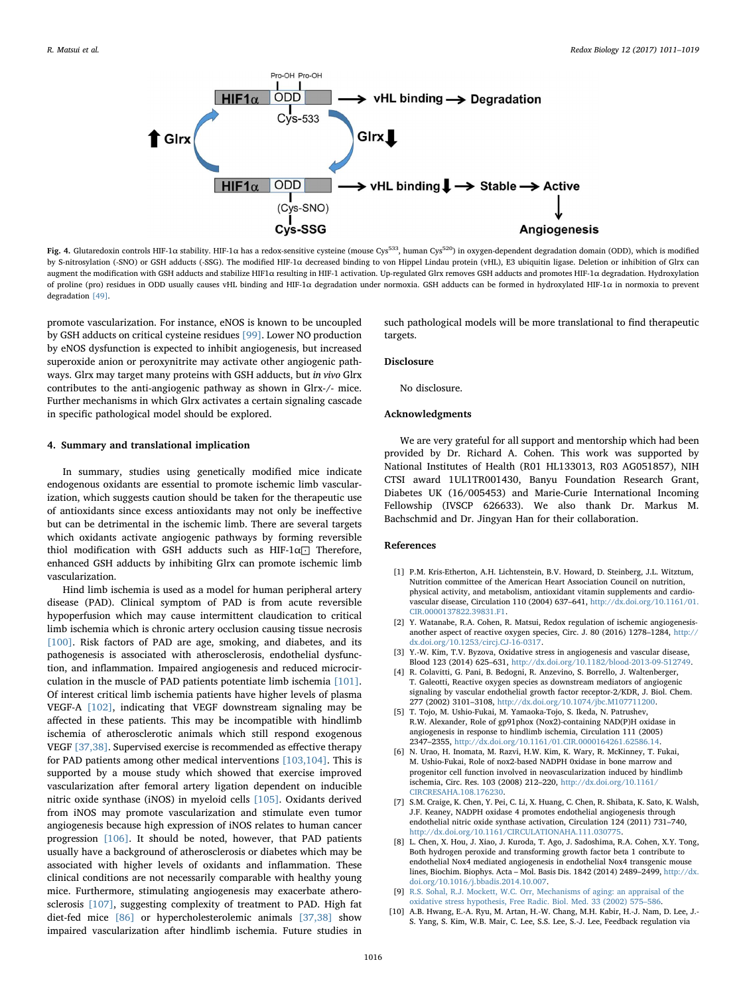<span id="page-5-8"></span>

Fig. 4. Glutaredoxin controls HIF-1α stability. HIF-1α has a redox-sensitive cysteine (mouse Cys<sup>533</sup>, human Cys<sup>520</sup>) in oxygen-dependent degradation domain (ODD), which is modified by S-nitrosylation (-SNO) or GSH adducts (-SSG). The modified HIF-1α decreased binding to von Hippel Lindau protein (vHL), E3 ubiquitin ligase. Deletion or inhibition of Glrx can augment the modification with GSH adducts and stabilize HIF1α resulting in HIF-1 activation. Up-regulated Glrx removes GSH adducts and promotes HIF-1α degradation. Hydroxylation of proline (pro) residues in ODD usually causes vHL binding and HIF-1α degradation under normoxia. GSH adducts can be formed in hydroxylated HIF-1α in normoxia to prevent degradation [\[49\]](#page-6-33).

promote vascularization. For instance, eNOS is known to be uncoupled by GSH adducts on critical cysteine residues [\[99\].](#page-8-6) Lower NO production by eNOS dysfunction is expected to inhibit angiogenesis, but increased superoxide anion or peroxynitrite may activate other angiogenic pathways. Glrx may target many proteins with GSH adducts, but in vivo Glrx contributes to the anti-angiogenic pathway as shown in Glrx-/- mice. Further mechanisms in which Glrx activates a certain signaling cascade in specific pathological model should be explored.

## 4. Summary and translational implication

In summary, studies using genetically modified mice indicate endogenous oxidants are essential to promote ischemic limb vascularization, which suggests caution should be taken for the therapeutic use of antioxidants since excess antioxidants may not only be ineffective but can be detrimental in the ischemic limb. There are several targets which oxidants activate angiogenic pathways by forming reversible thiol modification with GSH adducts such as HIF-1α⊡ Therefore, enhanced GSH adducts by inhibiting Glrx can promote ischemic limb vascularization.

Hind limb ischemia is used as a model for human peripheral artery disease (PAD). Clinical symptom of PAD is from acute reversible hypoperfusion which may cause intermittent claudication to critical limb ischemia which is chronic artery occlusion causing tissue necrosis [\[100\].](#page-8-7) Risk factors of PAD are age, smoking, and diabetes, and its pathogenesis is associated with atherosclerosis, endothelial dysfunction, and inflammation. Impaired angiogenesis and reduced microcirculation in the muscle of PAD patients potentiate limb ischemia [\[101\]](#page-8-8). Of interest critical limb ischemia patients have higher levels of plasma VEGF-A [\[102\],](#page-8-9) indicating that VEGF downstream signaling may be affected in these patients. This may be incompatible with hindlimb ischemia of atherosclerotic animals which still respond exogenous VEGF [\[37,38\]](#page-6-23). Supervised exercise is recommended as effective therapy for PAD patients among other medical interventions [\[103,104\].](#page-8-10) This is supported by a mouse study which showed that exercise improved vascularization after femoral artery ligation dependent on inducible nitric oxide synthase (iNOS) in myeloid cells [\[105\].](#page-8-11) Oxidants derived from iNOS may promote vascularization and stimulate even tumor angiogenesis because high expression of iNOS relates to human cancer progression [\[106\].](#page-8-12) It should be noted, however, that PAD patients usually have a background of atherosclerosis or diabetes which may be associated with higher levels of oxidants and inflammation. These clinical conditions are not necessarily comparable with healthy young mice. Furthermore, stimulating angiogenesis may exacerbate atherosclerosis [\[107\],](#page-8-13) suggesting complexity of treatment to PAD. High fat diet-fed mice [\[86\]](#page-7-29) or hypercholesterolemic animals [\[37,38\]](#page-6-23) show impaired vascularization after hindlimb ischemia. Future studies in

such pathological models will be more translational to find therapeutic targets.

#### Disclosure

No disclosure.

## Acknowledgments

We are very grateful for all support and mentorship which had been provided by Dr. Richard A. Cohen. This work was supported by National Institutes of Health (R01 HL133013, R03 AG051857), NIH CTSI award 1UL1TR001430, Banyu Foundation Research Grant, Diabetes UK (16/005453) and Marie-Curie International Incoming Fellowship (IVSCP 626633). We also thank Dr. Markus M. Bachschmid and Dr. Jingyan Han for their collaboration.

#### References

- <span id="page-5-0"></span>[1] P.M. Kris-Etherton, A.H. Lichtenstein, B.V. Howard, D. Steinberg, J.L. Witztum, Nutrition committee of the American Heart Association Council on nutrition, physical activity, and metabolism, antioxidant vitamin supplements and cardiovascular disease, Circulation 110 (2004) 637–641, [http://dx.doi.org/10.1161/01.](http://dx.doi.org/10.1161/01.CIR.0000137822.39831.F1) [CIR.0000137822.39831.F1.](http://dx.doi.org/10.1161/01.CIR.0000137822.39831.F1)
- [2] Y. Watanabe, R.A. Cohen, R. Matsui, Redox regulation of ischemic angiogenesisanother aspect of reactive oxygen species, Circ. J. 80 (2016) 1278–1284, [http://](http://dx.doi.org/10.1253/circj.CJ-16-0317) [dx.doi.org/10.1253/circj.CJ-16-0317.](http://dx.doi.org/10.1253/circj.CJ-16-0317)
- <span id="page-5-1"></span>[3] Y.-W. Kim, T.V. Byzova, Oxidative stress in angiogenesis and vascular disease, Blood 123 (2014) 625–631, [http://dx.doi.org/10.1182/blood-2013-09-512749.](http://dx.doi.org/10.1182/blood-2013-09-512749)
- <span id="page-5-2"></span>[4] R. Colavitti, G. Pani, B. Bedogni, R. Anzevino, S. Borrello, J. Waltenberger, T. Galeotti, Reactive oxygen species as downstream mediators of angiogenic signaling by vascular endothelial growth factor receptor-2/KDR, J. Biol. Chem. 277 (2002) 3101–3108, [http://dx.doi.org/10.1074/jbc.M107711200.](http://dx.doi.org/10.1074/jbc.M107711200)
- <span id="page-5-3"></span>[5] T. Tojo, M. Ushio-Fukai, M. Yamaoka-Tojo, S. Ikeda, N. Patrushev, R.W. Alexander, Role of gp91phox (Nox2)-containing NAD(P)H oxidase in angiogenesis in response to hindlimb ischemia, Circulation 111 (2005) 2347–2355, [http://dx.doi.org/10.1161/01.CIR.0000164261.62586.14.](http://dx.doi.org/10.1161/01.CIR.0000164261.62586.14)
- [6] N. Urao, H. Inomata, M. Razvi, H.W. Kim, K. Wary, R. McKinney, T. Fukai, M. Ushio-Fukai, Role of nox2-based NADPH 0xidase in bone marrow and progenitor cell function involved in neovascularization induced by hindlimb ischemia, Circ. Res. 103 (2008) 212–220, [http://dx.doi.org/10.1161/](http://dx.doi.org/10.1161/CIRCRESAHA.108.176230) [CIRCRESAHA.108.176230.](http://dx.doi.org/10.1161/CIRCRESAHA.108.176230)
- <span id="page-5-4"></span>[7] S.M. Craige, K. Chen, Y. Pei, C. Li, X. Huang, C. Chen, R. Shibata, K. Sato, K. Walsh, J.F. Keaney, NADPH oxidase 4 promotes endothelial angiogenesis through endothelial nitric oxide synthase activation, Circulation 124 (2011) 731–740, [http://dx.doi.org/10.1161/CIRCULATIONAHA.111.030775.](http://dx.doi.org/10.1161/CIRCULATIONAHA.111.030775)
- <span id="page-5-7"></span>[8] L. Chen, X. Hou, J. Xiao, J. Kuroda, T. Ago, J. Sadoshima, R.A. Cohen, X.Y. Tong, Both hydrogen peroxide and transforming growth factor beta 1 contribute to endothelial Nox4 mediated angiogenesis in endothelial Nox4 transgenic mouse lines, Biochim. Biophys. Acta – Mol. Basis Dis. 1842 (2014) 2489–2499, [http://dx.](http://dx.doi.org/10.1016/j.bbadis.2014.10.007) [doi.org/10.1016/j.bbadis.2014.10.007.](http://dx.doi.org/10.1016/j.bbadis.2014.10.007)
- <span id="page-5-5"></span>[9] [R.S. Sohal, R.J. Mockett, W.C. Orr, Mechanisms of aging: an appraisal of the](http://refhub.elsevier.com/S2213-2317(17)30133-7/sbref9) [oxidative stress hypothesis, Free Radic. Biol. Med. 33 \(2002\) 575](http://refhub.elsevier.com/S2213-2317(17)30133-7/sbref9)–586.
- <span id="page-5-6"></span>[10] A.B. Hwang, E.-A. Ryu, M. Artan, H.-W. Chang, M.H. Kabir, H.-J. Nam, D. Lee, J.- S. Yang, S. Kim, W.B. Mair, C. Lee, S.S. Lee, S.-J. Lee, Feedback regulation via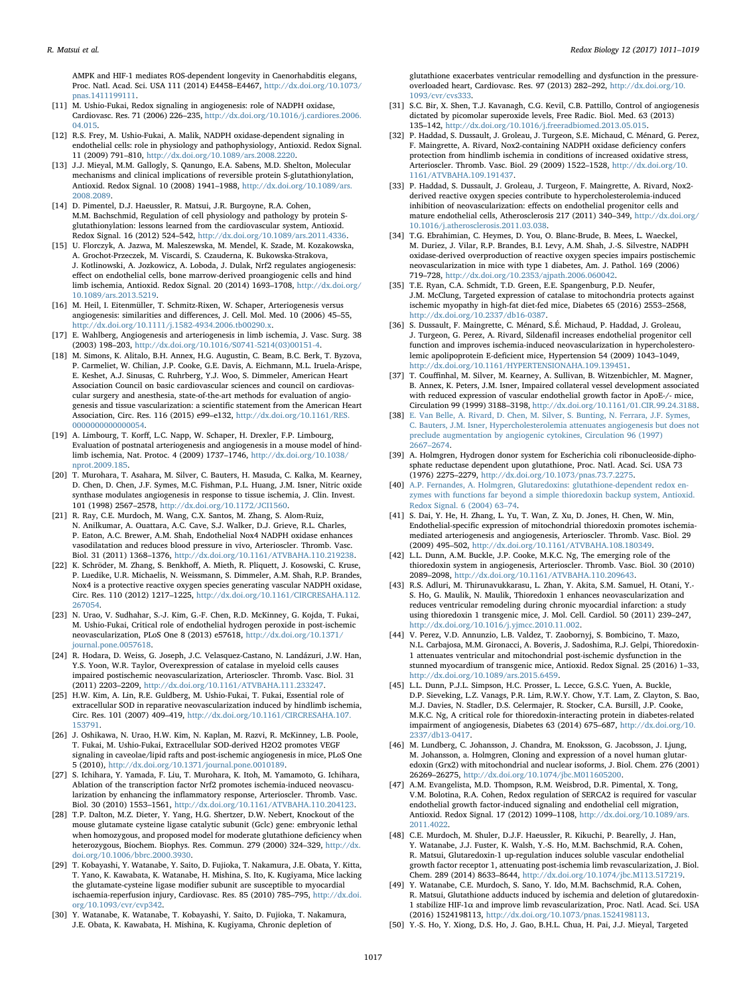AMPK and HIF-1 mediates ROS-dependent longevity in Caenorhabditis elegans, Proc. Natl. Acad. Sci. USA 111 (2014) E4458–E4467, [http://dx.doi.org/10.1073/](http://dx.doi.org/10.1073/pnas.1411199111) [pnas.1411199111.](http://dx.doi.org/10.1073/pnas.1411199111)

- <span id="page-6-0"></span>[11] M. Ushio-Fukai, Redox signaling in angiogenesis: role of NADPH oxidase, Cardiovasc. Res. 71 (2006) 226–235, [http://dx.doi.org/10.1016/j.cardiores.2006.](http://dx.doi.org/10.1016/j.cardiores.2006.04.015) [04.015.](http://dx.doi.org/10.1016/j.cardiores.2006.04.015)
- [12] R.S. Frey, M. Ushio-Fukai, A. Malik, NADPH oxidase-dependent signaling in endothelial cells: role in physiology and pathophysiology, Antioxid. Redox Signal. 11 (2009) 791–810, [http://dx.doi.org/10.1089/ars.2008.2220.](http://dx.doi.org/10.1089/ars.2008.2220)
- <span id="page-6-1"></span>[13] J.J. Mieyal, M.M. Gallogly, S. Qanungo, E.A. Sabens, M.D. Shelton, Molecular mechanisms and clinical implications of reversible protein S-glutathionylation, Antioxid. Redox Signal. 10 (2008) 1941–1988, [http://dx.doi.org/10.1089/ars.](http://dx.doi.org/10.1089/ars.2008.2089) [2008.2089.](http://dx.doi.org/10.1089/ars.2008.2089)
- [14] D. Pimentel, D.J. Haeussler, R. Matsui, J.R. Burgoyne, R.A. Cohen, M.M. Bachschmid, Regulation of cell physiology and pathology by protein Sglutathionylation: lessons learned from the cardiovascular system, Antioxid. Redox Signal. 16 (2012) 524–542, [http://dx.doi.org/10.1089/ars.2011.4336.](http://dx.doi.org/10.1089/ars.2011.4336)
- <span id="page-6-2"></span>[15] U. Florczyk, A. Jazwa, M. Maleszewska, M. Mendel, K. Szade, M. Kozakowska, A. Grochot-Przeczek, M. Viscardi, S. Czauderna, K. Bukowska-Strakova, J. Kotlinowski, A. Jozkowicz, A. Loboda, J. Dulak, Nrf2 regulates angiogenesis: effect on endothelial cells, bone marrow-derived proangiogenic cells and hind limb ischemia, Antioxid. Redox Signal. 20 (2014) 1693–1708, [http://dx.doi.org/](http://dx.doi.org/10.1089/ars.2013.5219) [10.1089/ars.2013.5219.](http://dx.doi.org/10.1089/ars.2013.5219)
- <span id="page-6-3"></span>[16] M. Heil, I. Eitenmüller, T. Schmitz-Rixen, W. Schaper, Arteriogenesis versus angiogenesis: similarities and differences, J. Cell. Mol. Med. 10 (2006) 45–55, [http://dx.doi.org/10.1111/j.1582-4934.2006.tb00290.x.](http://dx.doi.org/10.1111/j.1582-4934.2006.tb00290.x)
- <span id="page-6-4"></span>[17] E. Wahlberg, Angiogenesis and arteriogenesis in limb ischemia, J. Vasc. Surg. 38 (2003) 198–203, [http://dx.doi.org/10.1016/S0741-5214\(03\)00151-4.](http://dx.doi.org/10.1016/S0741-5214(03)00151-4)
- <span id="page-6-6"></span>[18] M. Simons, K. Alitalo, B.H. Annex, H.G. Augustin, C. Beam, B.C. Berk, T. Byzova, P. Carmeliet, W. Chilian, J.P. Cooke, G.E. Davis, A. Eichmann, M.L. Iruela-Arispe, E. Keshet, A.J. Sinusas, C. Ruhrberg, Y.J. Woo, S. Dimmeler, American Heart Association Council on basic cardiovascular sciences and council on cardiovascular surgery and anesthesia, state-of-the-art methods for evaluation of angiogenesis and tissue vascularization: a scientific statement from the American Heart Association, Circ. Res. 116 (2015) e99–e132, [http://dx.doi.org/10.1161/RES.](http://dx.doi.org/10.1161/RES.0000000000000054) [0000000000000054.](http://dx.doi.org/10.1161/RES.0000000000000054)
- <span id="page-6-5"></span>[19] A. Limbourg, T. Korff, L.C. Napp, W. Schaper, H. Drexler, F.P. Limbourg, Evaluation of postnatal arteriogenesis and angiogenesis in a mouse model of hindlimb ischemia, Nat. Protoc. 4 (2009) 1737–1746, [http://dx.doi.org/10.1038/](http://dx.doi.org/10.1038/nprot.2009.185) [nprot.2009.185.](http://dx.doi.org/10.1038/nprot.2009.185)
- <span id="page-6-7"></span>[20] T. Murohara, T. Asahara, M. Silver, C. Bauters, H. Masuda, C. Kalka, M. Kearney, D. Chen, D. Chen, J.F. Symes, M.C. Fishman, P.L. Huang, J.M. Isner, Nitric oxide synthase modulates angiogenesis in response to tissue ischemia, J. Clin. Invest. 101 (1998) 2567–2578, [http://dx.doi.org/10.1172/JCI1560.](http://dx.doi.org/10.1172/JCI1560)
- <span id="page-6-8"></span>[21] R. Ray, C.E. Murdoch, M. Wang, C.X. Santos, M. Zhang, S. Alom-Ruiz, N. Anilkumar, A. Ouattara, A.C. Cave, S.J. Walker, D.J. Grieve, R.L. Charles, P. Eaton, A.C. Brewer, A.M. Shah, Endothelial Nox4 NADPH oxidase enhances vasodilatation and reduces blood pressure in vivo, Arterioscler. Thromb. Vasc. Biol. 31 (2011) 1368–1376, [http://dx.doi.org/10.1161/ATVBAHA.110.219238.](http://dx.doi.org/10.1161/ATVBAHA.110.219238)
- <span id="page-6-32"></span>[22] K. Schröder, M. Zhang, S. Benkhoff, A. Mieth, R. Pliquett, J. Kosowski, C. Kruse, P. Luedike, U.R. Michaelis, N. Weissmann, S. Dimmeler, A.M. Shah, R.P. Brandes, Nox4 is a protective reactive oxygen species generating vascular NADPH oxidase, Circ. Res. 110 (2012) 1217–1225, [http://dx.doi.org/10.1161/CIRCRESAHA.112.](http://dx.doi.org/10.1161/CIRCRESAHA.112.267054) [267054.](http://dx.doi.org/10.1161/CIRCRESAHA.112.267054)
- <span id="page-6-9"></span>[23] N. Urao, V. Sudhahar, S.-J. Kim, G.-F. Chen, R.D. McKinney, G. Kojda, T. Fukai, M. Ushio-Fukai, Critical role of endothelial hydrogen peroxide in post-ischemic neovascularization, PLoS One 8 (2013) e57618, [http://dx.doi.org/10.1371/](http://dx.doi.org/10.1371/journal.pone.0057618) ournal.pone.0057618.
- <span id="page-6-10"></span>[24] R. Hodara, D. Weiss, G. Joseph, J.C. Velasquez-Castano, N. Landázuri, J.W. Han, Y.S. Yoon, W.R. Taylor, Overexpression of catalase in myeloid cells causes impaired postischemic neovascularization, Arterioscler. Thromb. Vasc. Biol. 31 (2011) 2203–2209, [http://dx.doi.org/10.1161/ATVBAHA.111.233247.](http://dx.doi.org/10.1161/ATVBAHA.111.233247)
- <span id="page-6-11"></span>[25] H.W. Kim, A. Lin, R.E. Guldberg, M. Ushio-Fukai, T. Fukai, Essential role of extracellular SOD in reparative neovascularization induced by hindlimb ischemia, Circ. Res. 101 (2007) 409–419, [http://dx.doi.org/10.1161/CIRCRESAHA.107.](http://dx.doi.org/10.1161/CIRCRESAHA.107.153791) [153791.](http://dx.doi.org/10.1161/CIRCRESAHA.107.153791)
- [26] J. Oshikawa, N. Urao, H.W. Kim, N. Kaplan, M. Razvi, R. McKinney, L.B. Poole, T. Fukai, M. Ushio-Fukai, Extracellular SOD-derived H2O2 promotes VEGF signaling in caveolae/lipid rafts and post-ischemic angiogenesis in mice, PLoS One 5 (2010), [http://dx.doi.org/10.1371/journal.pone.0010189.](http://dx.doi.org/10.1371/journal.pone.0010189)
- <span id="page-6-12"></span>[27] S. Ichihara, Y. Yamada, F. Liu, T. Murohara, K. Itoh, M. Yamamoto, G. Ichihara, Ablation of the transcription factor Nrf2 promotes ischemia-induced neovascularization by enhancing the inflammatory response, Arterioscler. Thromb. Vasc. Biol. 30 (2010) 1553–1561, [http://dx.doi.org/10.1161/ATVBAHA.110.204123.](http://dx.doi.org/10.1161/ATVBAHA.110.204123)
- <span id="page-6-14"></span>[28] T.P. Dalton, M.Z. Dieter, Y. Yang, H.G. Shertzer, D.W. Nebert, Knockout of the mouse glutamate cysteine ligase catalytic subunit (Gclc) gene: embryonic lethal when homozygous, and proposed model for moderate glutathione deficiency when heterozygous, Biochem. Biophys. Res. Commun. 279 (2000) 324–329, [http://dx.](http://dx.doi.org/10.1006/bbrc.2000.3930) [doi.org/10.1006/bbrc.2000.3930.](http://dx.doi.org/10.1006/bbrc.2000.3930)
- <span id="page-6-15"></span>[29] T. Kobayashi, Y. Watanabe, Y. Saito, D. Fujioka, T. Nakamura, J.E. Obata, Y. Kitta, T. Yano, K. Kawabata, K. Watanabe, H. Mishina, S. Ito, K. Kugiyama, Mice lacking the glutamate-cysteine ligase modifier subunit are susceptible to myocardial ischaemia-reperfusion injury, Cardiovasc. Res. 85 (2010) 785–795, [http://dx.doi.](http://dx.doi.org/10.1093/cvr/cvp342) [org/10.1093/cvr/cvp342.](http://dx.doi.org/10.1093/cvr/cvp342)
- <span id="page-6-16"></span>[30] Y. Watanabe, K. Watanabe, T. Kobayashi, Y. Saito, D. Fujioka, T. Nakamura, J.E. Obata, K. Kawabata, H. Mishina, K. Kugiyama, Chronic depletion of

glutathione exacerbates ventricular remodelling and dysfunction in the pressureoverloaded heart, Cardiovasc. Res. 97 (2013) 282–292, [http://dx.doi.org/10.](http://dx.doi.org/10.1093/cvr/cvs333) [1093/cvr/cvs333.](http://dx.doi.org/10.1093/cvr/cvs333)

- <span id="page-6-17"></span>[31] S.C. Bir, X. Shen, T.J. Kavanagh, C.G. Kevil, C.B. Pattillo, Control of angiogenesis dictated by picomolar superoxide levels, Free Radic. Biol. Med. 63 (2013) 135–142, [http://dx.doi.org/10.1016/j.freeradbiomed.2013.05.015.](http://dx.doi.org/10.1016/j.freeradbiomed.2013.05.015)
- <span id="page-6-18"></span>[32] P. Haddad, S. Dussault, J. Groleau, J. Turgeon, S.E. Michaud, C. Ménard, G. Perez, F. Maingrette, A. Rivard, Nox2-containing NADPH oxidase deficiency confers protection from hindlimb ischemia in conditions of increased oxidative stress, Arterioscler. Thromb. Vasc. Biol. 29 (2009) 1522–1528, [http://dx.doi.org/10.](http://dx.doi.org/10.1161/ATVBAHA.109.191437) [1161/ATVBAHA.109.191437.](http://dx.doi.org/10.1161/ATVBAHA.109.191437)
- <span id="page-6-19"></span>[33] P. Haddad, S. Dussault, J. Groleau, J. Turgeon, F. Maingrette, A. Rivard, Nox2 derived reactive oxygen species contribute to hypercholesterolemia-induced inhibition of neovascularization: effects on endothelial progenitor cells and mature endothelial cells, Atherosclerosis 217 (2011) 340–349, [http://dx.doi.org/](http://dx.doi.org/10.1016/j.atherosclerosis.2011.03.038) [10.1016/j.atherosclerosis.2011.03.038.](http://dx.doi.org/10.1016/j.atherosclerosis.2011.03.038)
- <span id="page-6-20"></span>[34] T.G. Ebrahimian, C. Heymes, D. You, O. Blanc-Brude, B. Mees, L. Waeckel, M. Duriez, J. Vilar, R.P. Brandes, B.I. Levy, A.M. Shah, J.-S. Silvestre, NADPH oxidase-derived overproduction of reactive oxygen species impairs postischemic neovascularization in mice with type 1 diabetes, Am. J. Pathol. 169 (2006) 719–728, [http://dx.doi.org/10.2353/ajpath.2006.060042.](http://dx.doi.org/10.2353/ajpath.2006.060042)
- <span id="page-6-21"></span>[35] T.E. Ryan, C.A. Schmidt, T.D. Green, E.E. Spangenburg, P.D. Neufer, J.M. McClung, Targeted expression of catalase to mitochondria protects against ischemic myopathy in high-fat diet-fed mice, Diabetes 65 (2016) 2553–2568, [http://dx.doi.org/10.2337/db16-0387.](http://dx.doi.org/10.2337/db16-0387)
- <span id="page-6-22"></span>[36] S. Dussault, F. Maingrette, C. Ménard, S.É. Michaud, P. Haddad, J. Groleau, J. Turgeon, G. Perez, A. Rivard, Sildenafil increases endothelial progenitor cell function and improves ischemia-induced neovascularization in hypercholesterolemic apolipoprotein E-deficient mice, Hypertension 54 (2009) 1043–1049, [http://dx.doi.org/10.1161/HYPERTENSIONAHA.109.139451.](http://dx.doi.org/10.1161/HYPERTENSIONAHA.109.139451)
- <span id="page-6-23"></span>[37] T. Couffinhal, M. Silver, M. Kearney, A. Sullivan, B. Witzenbichler, M. Magner, B. Annex, K. Peters, J.M. Isner, Impaired collateral vessel development associated with reduced expression of vascular endothelial growth factor in ApoE-/- mice, Circulation 99 (1999) 3188–3198, [http://dx.doi.org/10.1161/01.CIR.99.24.3188.](http://dx.doi.org/10.1161/01.CIR.99.24.3188)
- [38] [E. Van Belle, A. Rivard, D. Chen, M. Silver, S. Bunting, N. Ferrara, J.F. Symes,](http://refhub.elsevier.com/S2213-2317(17)30133-7/sbref38) [C. Bauters, J.M. Isner, Hypercholesterolemia attenuates angiogenesis but does not](http://refhub.elsevier.com/S2213-2317(17)30133-7/sbref38) [preclude augmentation by angiogenic cytokines, Circulation 96 \(1997\)](http://refhub.elsevier.com/S2213-2317(17)30133-7/sbref38) 2667–[2674.](http://refhub.elsevier.com/S2213-2317(17)30133-7/sbref38)
- <span id="page-6-24"></span>[39] A. Holmgren, Hydrogen donor system for Escherichia coli ribonucleoside-diphosphate reductase dependent upon glutathione, Proc. Natl. Acad. Sci. USA 73 (1976) 2275–2279, [http://dx.doi.org/10.1073/pnas.73.7.2275.](http://dx.doi.org/10.1073/pnas.73.7.2275)
- <span id="page-6-25"></span>[40] [A.P. Fernandes, A. Holmgren, Glutaredoxins: glutathione-dependent redox en](http://refhub.elsevier.com/S2213-2317(17)30133-7/sbref40)[zymes with functions far beyond a simple thioredoxin backup system, Antioxid.](http://refhub.elsevier.com/S2213-2317(17)30133-7/sbref40) [Redox Signal. 6 \(2004\) 63](http://refhub.elsevier.com/S2213-2317(17)30133-7/sbref40)–74.
- <span id="page-6-26"></span>[41] S. Dai, Y. He, H. Zhang, L. Yu, T. Wan, Z. Xu, D. Jones, H. Chen, W. Min, Endothelial-specific expression of mitochondrial thioredoxin promotes ischemiamediated arteriogenesis and angiogenesis, Arterioscler. Thromb. Vasc. Biol. 29 (2009) 495–502, [http://dx.doi.org/10.1161/ATVBAHA.108.180349.](http://dx.doi.org/10.1161/ATVBAHA.108.180349)
- <span id="page-6-27"></span>[42] L.L. Dunn, A.M. Buckle, J.P. Cooke, M.K.C. Ng, The emerging role of the thioredoxin system in angiogenesis, Arterioscler. Thromb. Vasc. Biol. 30 (2010) 2089–2098, [http://dx.doi.org/10.1161/ATVBAHA.110.209643.](http://dx.doi.org/10.1161/ATVBAHA.110.209643)
- <span id="page-6-28"></span>[43] R.S. Adluri, M. Thirunavukkarasu, L. Zhan, Y. Akita, S.M. Samuel, H. Otani, Y.- S. Ho, G. Maulik, N. Maulik, Thioredoxin 1 enhances neovascularization and reduces ventricular remodeling during chronic myocardial infarction: a study using thioredoxin 1 transgenic mice, J. Mol. Cell. Cardiol. 50 (2011) 239–247, [http://dx.doi.org/10.1016/j.yjmcc.2010.11.002.](http://dx.doi.org/10.1016/j.yjmcc.2010.11.002)
- <span id="page-6-29"></span>[44] V. Perez, V.D. Annunzio, L.B. Valdez, T. Zaobornyj, S. Bombicino, T. Mazo, N.L. Carbajosa, M.M. Gironacci, A. Boveris, J. Sadoshima, R.J. Gelpi, Thioredoxin-1 attenuates ventricular and mitochondrial post-ischemic dysfunction in the stunned myocardium of transgenic mice, Antioxid. Redox Signal. 25 (2016) 1–33, [http://dx.doi.org/10.1089/ars.2015.6459.](http://dx.doi.org/10.1089/ars.2015.6459)
- <span id="page-6-30"></span>[45] L.L. Dunn, P.J.L. Simpson, H.C. Prosser, L. Lecce, G.S.C. Yuen, A. Buckle, D.P. Sieveking, L.Z. Vanags, P.R. Lim, R.W.Y. Chow, Y.T. Lam, Z. Clayton, S. Bao, M.J. Davies, N. Stadler, D.S. Celermajer, R. Stocker, C.A. Bursill, J.P. Cooke, M.K.C. Ng, A critical role for thioredoxin-interacting protein in diabetes-related impairment of angiogenesis, Diabetes 63 (2014) 675–687, [http://dx.doi.org/10.](http://dx.doi.org/10.2337/db13-0417) [2337/db13-0417.](http://dx.doi.org/10.2337/db13-0417)
- <span id="page-6-31"></span>[46] M. Lundberg, C. Johansson, J. Chandra, M. Enoksson, G. Jacobsson, J. Ljung, M. Johansson, a. Holmgren, Cloning and expression of a novel human glutaredoxin (Grx2) with mitochondrial and nuclear isoforms, J. Biol. Chem. 276 (2001) 26269–26275, [http://dx.doi.org/10.1074/jbc.M011605200.](http://dx.doi.org/10.1074/jbc.M011605200)
- <span id="page-6-34"></span>[47] A.M. Evangelista, M.D. Thompson, R.M. Weisbrod, D.R. Pimental, X. Tong, V.M. Bolotina, R.A. Cohen, Redox regulation of SERCA2 is required for vascular endothelial growth factor-induced signaling and endothelial cell migration, Antioxid. Redox Signal. 17 (2012) 1099–1108, [http://dx.doi.org/10.1089/ars.](http://dx.doi.org/10.1089/ars.2011.4022) [2011.4022.](http://dx.doi.org/10.1089/ars.2011.4022)
- <span id="page-6-13"></span>[48] C.E. Murdoch, M. Shuler, D.J.F. Haeussler, R. Kikuchi, P. Bearelly, J. Han, Y. Watanabe, J.J. Fuster, K. Walsh, Y.-S. Ho, M.M. Bachschmid, R.A. Cohen, R. Matsui, Glutaredoxin-1 up-regulation induces soluble vascular endothelial growth factor receptor 1, attenuating post-ischemia limb revascularization, J. Biol. Chem. 289 (2014) 8633–8644, [http://dx.doi.org/10.1074/jbc.M113.517219.](http://dx.doi.org/10.1074/jbc.M113.517219)
- <span id="page-6-33"></span>[49] Y. Watanabe, C.E. Murdoch, S. Sano, Y. Ido, M.M. Bachschmid, R.A. Cohen, R. Matsui, Glutathione adducts induced by ischemia and deletion of glutaredoxin-1 stabilize HIF-1α and improve limb revascularization, Proc. Natl. Acad. Sci. USA (2016) 1524198113, [http://dx.doi.org/10.1073/pnas.1524198113.](http://dx.doi.org/10.1073/pnas.1524198113)
- <span id="page-6-35"></span>[50] Y.-S. Ho, Y. Xiong, D.S. Ho, J. Gao, B.H.L. Chua, H. Pai, J.J. Mieyal, Targeted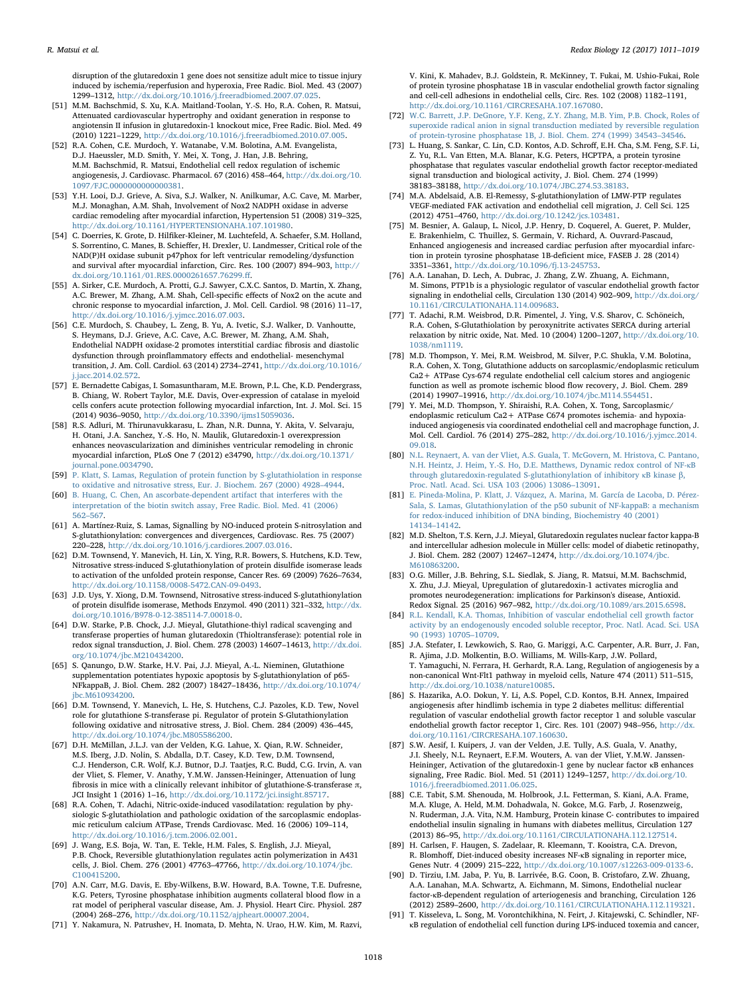disruption of the glutaredoxin 1 gene does not sensitize adult mice to tissue injury induced by ischemia/reperfusion and hyperoxia, Free Radic. Biol. Med. 43 (2007) 1299–1312, [http://dx.doi.org/10.1016/j.freeradbiomed.2007.07.025.](http://dx.doi.org/10.1016/j.freeradbiomed.2007.07.025)

- <span id="page-7-4"></span>[51] M.M. Bachschmid, S. Xu, K.A. Maitland-Toolan, Y.-S. Ho, R.A. Cohen, R. Matsui, Attenuated cardiovascular hypertrophy and oxidant generation in response to angiotensin II infusion in glutaredoxin-1 knockout mice, Free Radic. Biol. Med. 49 (2010) 1221–1229, [http://dx.doi.org/10.1016/j.freeradbiomed.2010.07.005.](http://dx.doi.org/10.1016/j.freeradbiomed.2010.07.005)
- <span id="page-7-5"></span>[52] R.A. Cohen, C.E. Murdoch, Y. Watanabe, V.M. Bolotina, A.M. Evangelista, D.J. Haeussler, M.D. Smith, Y. Mei, X. Tong, J. Han, J.B. Behring, M.M. Bachschmid, R. Matsui, Endothelial cell redox regulation of ischemic angiogenesis, J. Cardiovasc. Pharmacol. 67 (2016) 458–464, [http://dx.doi.org/10.](http://dx.doi.org/10.1097/FJC.0000000000000381) [1097/FJC.0000000000000381.](http://dx.doi.org/10.1097/FJC.0000000000000381)
- <span id="page-7-0"></span>[53] Y.H. Looi, D.J. Grieve, A. Siva, S.J. Walker, N. Anilkumar, A.C. Cave, M. Marber, M.J. Monaghan, A.M. Shah, Involvement of Nox2 NADPH oxidase in adverse cardiac remodeling after myocardial infarction, Hypertension 51 (2008) 319–325, [http://dx.doi.org/10.1161/HYPERTENSIONAHA.107.101980.](http://dx.doi.org/10.1161/HYPERTENSIONAHA.107.101980)
- <span id="page-7-6"></span>[54] C. Doerries, K. Grote, D. Hilfiker-Kleiner, M. Luchtefeld, A. Schaefer, S.M. Holland, S. Sorrentino, C. Manes, B. Schieffer, H. Drexler, U. Landmesser, Critical role of the NAD(P)H oxidase subunit p47phox for left ventricular remodeling/dysfunction and survival after myocardial infarction, Circ. Res. 100 (2007) 894–903, [http://](http://dx.doi.org/10.1161/01.RES.0000261657.76299.ff) [dx.doi.org/10.1161/01.RES.0000261657.76299.](http://dx.doi.org/10.1161/01.RES.0000261657.76299.ff)ff.
- <span id="page-7-1"></span>[55] A. Sirker, C.E. Murdoch, A. Protti, G.J. Sawyer, C.X.C. Santos, D. Martin, X. Zhang, A.C. Brewer, M. Zhang, A.M. Shah, Cell-specific effects of Nox2 on the acute and chronic response to myocardial infarction, J. Mol. Cell. Cardiol. 98 (2016) 11–17, [http://dx.doi.org/10.1016/j.yjmcc.2016.07.003.](http://dx.doi.org/10.1016/j.yjmcc.2016.07.003)
- <span id="page-7-7"></span>[56] C.E. Murdoch, S. Chaubey, L. Zeng, B. Yu, A. Ivetic, S.J. Walker, D. Vanhoutte, S. Heymans, D.J. Grieve, A.C. Cave, A.C. Brewer, M. Zhang, A.M. Shah, Endothelial NADPH oxidase-2 promotes interstitial cardiac fibrosis and diastolic dysfunction through proinflammatory effects and endothelial- mesenchymal transition, J. Am. Coll. Cardiol. 63 (2014) 2734–2741, [http://dx.doi.org/10.1016/](http://dx.doi.org/10.1016/j.jacc.2014.02.572) [j.jacc.2014.02.572.](http://dx.doi.org/10.1016/j.jacc.2014.02.572)
- <span id="page-7-2"></span>[57] E. Bernadette Cabigas, I. Somasuntharam, M.E. Brown, P.L. Che, K.D. Pendergrass, B. Chiang, W. Robert Taylor, M.E. Davis, Over-expression of catalase in myeloid cells confers acute protection following myocardial infarction, Int. J. Mol. Sci. 15 (2014) 9036–9050, [http://dx.doi.org/10.3390/ijms15059036.](http://dx.doi.org/10.3390/ijms15059036)
- <span id="page-7-3"></span>[58] R.S. Adluri, M. Thirunavukkarasu, L. Zhan, N.R. Dunna, Y. Akita, V. Selvaraju, H. Otani, J.A. Sanchez, Y.-S. Ho, N. Maulik, Glutaredoxin-1 overexpression enhances neovascularization and diminishes ventricular remodeling in chronic myocardial infarction, PLoS One 7 (2012) e34790, [http://dx.doi.org/10.1371/](http://dx.doi.org/10.1371/journal.pone.0034790) ournal.pone.0034790.
- <span id="page-7-10"></span>[59] [P. Klatt, S. Lamas, Regulation of protein function by S-glutathiolation in response](http://refhub.elsevier.com/S2213-2317(17)30133-7/sbref59) [to oxidative and nitrosative stress, Eur. J. Biochem. 267 \(2000\) 4928](http://refhub.elsevier.com/S2213-2317(17)30133-7/sbref59)–4944.
- <span id="page-7-8"></span>[60] [B. Huang, C. Chen, An ascorbate-dependent artifact that interferes with the](http://refhub.elsevier.com/S2213-2317(17)30133-7/sbref60) [interpretation of the biotin switch assay, Free Radic. Biol. Med. 41 \(2006\)](http://refhub.elsevier.com/S2213-2317(17)30133-7/sbref60) 562–[567.](http://refhub.elsevier.com/S2213-2317(17)30133-7/sbref60)
- <span id="page-7-9"></span>[61] A. Martínez-Ruiz, S. Lamas, Signalling by NO-induced protein S-nitrosylation and S-glutathionylation: convergences and divergences, Cardiovasc. Res. 75 (2007) 220–228, [http://dx.doi.org/10.1016/j.cardiores.2007.03.016.](http://dx.doi.org/10.1016/j.cardiores.2007.03.016)
- [62] D.M. Townsend, Y. Manevich, H. Lin, X. Ying, R.R. Bowers, S. Hutchens, K.D. Tew, Nitrosative stress-induced S-glutathionylation of protein disulfide isomerase leads to activation of the unfolded protein response, Cancer Res. 69 (2009) 7626–7634, [http://dx.doi.org/10.1158/0008-5472.CAN-09-0493.](http://dx.doi.org/10.1158/0008-5472.CAN-09-0493)
- [63] J.D. Uys, Y. Xiong, D.M. Townsend, Nitrosative stress-induced S-glutathionylation of protein disulfide isomerase, Methods Enzymol. 490 (2011) 321–332, [http://dx.](http://dx.doi.org/10.1016/B978-0-12-385114-7.00018-0) [doi.org/10.1016/B978-0-12-385114-7.00018-0.](http://dx.doi.org/10.1016/B978-0-12-385114-7.00018-0)
- <span id="page-7-11"></span>[64] D.W. Starke, P.B. Chock, J.J. Mieyal, Glutathione-thiyl radical scavenging and transferase properties of human glutaredoxin (Thioltransferase): potential role in redox signal transduction, J. Biol. Chem. 278 (2003) 14607–14613, [http://dx.doi.](http://dx.doi.org/10.1074/jbc.M210434200) [org/10.1074/jbc.M210434200.](http://dx.doi.org/10.1074/jbc.M210434200)
- [65] S. Qanungo, D.W. Starke, H.V. Pai, J.J. Mieyal, A.-L. Nieminen, Glutathione supplementation potentiates hypoxic apoptosis by S-glutathionylation of p65- NFkappaB, J. Biol. Chem. 282 (2007) 18427–18436, [http://dx.doi.org/10.1074/](http://dx.doi.org/10.1074/jbc.M610934200) pc.M610934200
- <span id="page-7-12"></span>[66] D.M. Townsend, Y. Manevich, L. He, S. Hutchens, C.J. Pazoles, K.D. Tew, Novel role for glutathione S-transferase pi. Regulator of protein S-Glutathionylation following oxidative and nitrosative stress, J. Biol. Chem. 284 (2009) 436–445, [http://dx.doi.org/10.1074/jbc.M805586200.](http://dx.doi.org/10.1074/jbc.M805586200)
- <span id="page-7-13"></span>[67] D.H. McMillan, J.L.J. van der Velden, K.G. Lahue, X. Qian, R.W. Schneider, M.S. Iberg, J.D. Nolin, S. Abdalla, D.T. Casey, K.D. Tew, D.M. Townsend, C.J. Henderson, C.R. Wolf, K.J. Butnor, D.J. Taatjes, R.C. Budd, C.G. Irvin, A. van der Vliet, S. Flemer, V. Anathy, Y.M.W. Janssen-Heininger, Attenuation of lung fibrosis in mice with a clinically relevant inhibitor of glutathione-S-transferase π, JCI Insight 1 (2016) 1–16, [http://dx.doi.org/10.1172/jci.insight.85717.](http://dx.doi.org/10.1172/jci.insight.85717)
- <span id="page-7-14"></span>[68] R.A. Cohen, T. Adachi, Nitric-oxide-induced vasodilatation: regulation by physiologic S-glutathiolation and pathologic oxidation of the sarcoplasmic endoplasmic reticulum calcium ATPase, Trends Cardiovasc. Med. 16 (2006) 109–114, [http://dx.doi.org/10.1016/j.tcm.2006.02.001.](http://dx.doi.org/10.1016/j.tcm.2006.02.001)
- <span id="page-7-15"></span>[69] J. Wang, E.S. Boja, W. Tan, E. Tekle, H.M. Fales, S. English, J.J. Mieyal, P.B. Chock, Reversible glutathionylation regulates actin polymerization in A431 cells, J. Biol. Chem. 276 (2001) 47763–47766, [http://dx.doi.org/10.1074/jbc.](http://dx.doi.org/10.1074/jbc.C100415200) [C100415200.](http://dx.doi.org/10.1074/jbc.C100415200)
- <span id="page-7-16"></span>[70] A.N. Carr, M.G. Davis, E. Eby-Wilkens, B.W. Howard, B.A. Towne, T.E. Dufresne, K.G. Peters, Tyrosine phosphatase inhibition augments collateral blood flow in a rat model of peripheral vascular disease, Am. J. Physiol. Heart Circ. Physiol. 287 (2004) 268–276, [http://dx.doi.org/10.1152/ajpheart.00007.2004.](http://dx.doi.org/10.1152/ajpheart.00007.2004)
- <span id="page-7-17"></span>[71] Y. Nakamura, N. Patrushev, H. Inomata, D. Mehta, N. Urao, H.W. Kim, M. Razvi,

V. Kini, K. Mahadev, B.J. Goldstein, R. McKinney, T. Fukai, M. Ushio-Fukai, Role of protein tyrosine phosphatase 1B in vascular endothelial growth factor signaling and cell-cell adhesions in endothelial cells, Circ. Res. 102 (2008) 1182–1191, [http://dx.doi.org/10.1161/CIRCRESAHA.107.167080.](http://dx.doi.org/10.1161/CIRCRESAHA.107.167080)

- <span id="page-7-18"></span>[72] [W.C. Barrett, J.P. DeGnore, Y.F. Keng, Z.Y. Zhang, M.B. Yim, P.B. Chock, Roles of](http://refhub.elsevier.com/S2213-2317(17)30133-7/sbref72) [superoxide radical anion in signal transduction mediated by reversible regulation](http://refhub.elsevier.com/S2213-2317(17)30133-7/sbref72) [of protein-tyrosine phosphatase 1B, J. Biol. Chem. 274 \(1999\) 34543](http://refhub.elsevier.com/S2213-2317(17)30133-7/sbref72)–34546.
- <span id="page-7-19"></span>[73] L. Huang, S. Sankar, C. Lin, C.D. Kontos, A.D. Schroff, E.H. Cha, S.M. Feng, S.F. Li, Z. Yu, R.L. Van Etten, M.A. Blanar, K.G. Peters, HCPTPA, a protein tyrosine phosphatase that regulates vascular endothelial growth factor receptor-mediated signal transduction and biological activity, J. Biol. Chem. 274 (1999) 38183–38188, [http://dx.doi.org/10.1074/JBC.274.53.38183.](http://dx.doi.org/10.1074/JBC.274.53.38183)
- <span id="page-7-20"></span>[74] M.A. Abdelsaid, A.B. El-Remessy, S-glutathionylation of LMW-PTP regulates VEGF-mediated FAK activation and endothelial cell migration, J. Cell Sci. 125 (2012) 4751–4760, [http://dx.doi.org/10.1242/jcs.103481.](http://dx.doi.org/10.1242/jcs.103481)
- <span id="page-7-21"></span>[75] M. Besnier, A. Galaup, L. Nicol, J.P. Henry, D. Coquerel, A. Gueret, P. Mulder, E. Brakenhielm, C. Thuillez, S. Germain, V. Richard, A. Ouvrard-Pascaud, Enhanced angiogenesis and increased cardiac perfusion after myocardial infarction in protein tyrosine phosphatase 1B-deficient mice, FASEB J. 28 (2014) 3351–3361, [http://dx.doi.org/10.1096/fj.13-245753.](http://dx.doi.org/10.1096/fj.13-245753)
- <span id="page-7-22"></span>[76] A.A. Lanahan, D. Lech, A. Dubrac, J. Zhang, Z.W. Zhuang, A. Eichmann, M. Simons, PTP1b is a physiologic regulator of vascular endothelial growth factor signaling in endothelial cells, Circulation 130 (2014) 902-909, [http://dx.doi.org/](http://dx.doi.org/10.1161/CIRCULATIONAHA.114.009683) [10.1161/CIRCULATIONAHA.114.009683.](http://dx.doi.org/10.1161/CIRCULATIONAHA.114.009683)
- <span id="page-7-23"></span>[77] T. Adachi, R.M. Weisbrod, D.R. Pimentel, J. Ying, V.S. Sharov, C. Schöneich, R.A. Cohen, S-Glutathiolation by peroxynitrite activates SERCA during arterial relaxation by nitric oxide, Nat. Med. 10 (2004) 1200–1207, [http://dx.doi.org/10.](http://dx.doi.org/10.1038/nm1119) [1038/nm1119.](http://dx.doi.org/10.1038/nm1119)
- <span id="page-7-24"></span>[78] M.D. Thompson, Y. Mei, R.M. Weisbrod, M. Silver, P.C. Shukla, V.M. Bolotina, R.A. Cohen, X. Tong, Glutathione adducts on sarcoplasmic/endoplasmic reticulum Ca2+ ATPase Cys-674 regulate endothelial cell calcium stores and angiogenic function as well as promote ischemic blood flow recovery, J. Biol. Chem. 289 (2014) 19907–19916, [http://dx.doi.org/10.1074/jbc.M114.554451.](http://dx.doi.org/10.1074/jbc.M114.554451)
- [79] Y. Mei, M.D. Thompson, Y. Shiraishi, R.A. Cohen, X. Tong, Sarcoplasmic/ endoplasmic reticulum Ca2+ ATPase C674 promotes ischemia- and hypoxiainduced angiogenesis via coordinated endothelial cell and macrophage function, J. Mol. Cell. Cardiol. 76 (2014) 275–282, [http://dx.doi.org/10.1016/j.yjmcc.2014.](http://dx.doi.org/10.1016/j.yjmcc.2014.09.018) [09.018.](http://dx.doi.org/10.1016/j.yjmcc.2014.09.018)
- <span id="page-7-25"></span>[80] [N.L. Reynaert, A. van der Vliet, A.S. Guala, T. McGovern, M. Hristova, C. Pantano,](http://refhub.elsevier.com/S2213-2317(17)30133-7/sbref80) [N.H. Heintz, J. Heim, Y.-S. Ho, D.E. Matthews, Dynamic redox control of NF-](http://refhub.elsevier.com/S2213-2317(17)30133-7/sbref80)κB [through glutaredoxin-regulated S-glutathionylation of inhibitory](http://refhub.elsevier.com/S2213-2317(17)30133-7/sbref80) κB kinase β, [Proc. Natl. Acad. Sci. USA 103 \(2006\) 13086](http://refhub.elsevier.com/S2213-2317(17)30133-7/sbref80)–13091.
- <span id="page-7-26"></span>[81] [E. Pineda-Molina, P. Klatt, J. Vázquez, A. Marina, M. García de Lacoba, D. Pérez-](http://refhub.elsevier.com/S2213-2317(17)30133-7/sbref81)[Sala, S. Lamas, Glutathionylation of the p50 subunit of NF-kappaB: a mechanism](http://refhub.elsevier.com/S2213-2317(17)30133-7/sbref81) [for redox-induced inhibition of DNA binding, Biochemistry 40 \(2001\)](http://refhub.elsevier.com/S2213-2317(17)30133-7/sbref81) 14134–[14142.](http://refhub.elsevier.com/S2213-2317(17)30133-7/sbref81)
- <span id="page-7-30"></span>[82] M.D. Shelton, T.S. Kern, J.J. Mieyal, Glutaredoxin regulates nuclear factor kappa-B and intercellular adhesion molecule in Müller cells: model of diabetic retinopathy, J. Biol. Chem. 282 (2007) 12467–12474, [http://dx.doi.org/10.1074/jbc.](http://dx.doi.org/10.1074/jbc.M610863200) [M610863200.](http://dx.doi.org/10.1074/jbc.M610863200)
- <span id="page-7-33"></span>[83] O.G. Miller, J.B. Behring, S.L. Siedlak, S. Jiang, R. Matsui, M.M. Bachschmid, X. Zhu, J.J. Mieyal, Upregulation of glutaredoxin-1 activates microglia and promotes neurodegeneration: implications for Parkinson's disease, Antioxid. Redox Signal. 25 (2016) 967–982, [http://dx.doi.org/10.1089/ars.2015.6598.](http://dx.doi.org/10.1089/ars.2015.6598)
- <span id="page-7-27"></span>[84] [R.L. Kendall, K.A. Thomas, Inhibition of vascular endothelial cell growth factor](http://refhub.elsevier.com/S2213-2317(17)30133-7/sbref84) [activity by an endogenously encoded soluble receptor, Proc. Natl. Acad. Sci. USA](http://refhub.elsevier.com/S2213-2317(17)30133-7/sbref84) [90 \(1993\) 10705](http://refhub.elsevier.com/S2213-2317(17)30133-7/sbref84)–10709.
- <span id="page-7-28"></span>[85] J.A. Stefater, I. Lewkowich, S. Rao, G. Mariggi, A.C. Carpenter, A.R. Burr, J. Fan, R. Ajima, J.D. Molkentin, B.O. Williams, M. Wills-Karp, J.W. Pollard, T. Yamaguchi, N. Ferrara, H. Gerhardt, R.A. Lang, Regulation of angiogenesis by a non-canonical Wnt-Flt1 pathway in myeloid cells, Nature 474 (2011) 511–515, [http://dx.doi.org/10.1038/nature10085.](http://dx.doi.org/10.1038/nature10085)
- <span id="page-7-29"></span>[86] S. Hazarika, A.O. Dokun, Y. Li, A.S. Popel, C.D. Kontos, B.H. Annex, Impaired angiogenesis after hindlimb ischemia in type 2 diabetes mellitus: differential regulation of vascular endothelial growth factor receptor 1 and soluble vascular endothelial growth factor receptor 1, Circ. Res. 101 (2007) 948–956, [http://dx.](http://dx.doi.org/10.1161/CIRCRESAHA.107.160630) [doi.org/10.1161/CIRCRESAHA.107.160630.](http://dx.doi.org/10.1161/CIRCRESAHA.107.160630)
- <span id="page-7-31"></span>[87] S.W. Aesif, I. Kuipers, J. van der Velden, J.E. Tully, A.S. Guala, V. Anathy, J.I. Sheely, N.L. Reynaert, E.F.M. Wouters, A. van der Vliet, Y.M.W. Janssen-Heininger, Activation of the glutaredoxin-1 gene by nuclear factor κB enhances signaling, Free Radic. Biol. Med. 51 (2011) 1249–1257, [http://dx.doi.org/10.](http://dx.doi.org/10.1016/j.freeradbiomed.2011.06.025) [1016/j.freeradbiomed.2011.06.025.](http://dx.doi.org/10.1016/j.freeradbiomed.2011.06.025)
- <span id="page-7-32"></span>[88] C.E. Tabit, S.M. Shenouda, M. Holbrook, J.L. Fetterman, S. Kiani, A.A. Frame, M.A. Kluge, A. Held, M.M. Dohadwala, N. Gokce, M.G. Farb, J. Rosenzweig, N. Ruderman, J.A. Vita, N.M. Hamburg, Protein kinase C- contributes to impaired endothelial insulin signaling in humans with diabetes mellitus, Circulation 127 (2013) 86–95, [http://dx.doi.org/10.1161/CIRCULATIONAHA.112.127514.](http://dx.doi.org/10.1161/CIRCULATIONAHA.112.127514)
- [89] H. Carlsen, F. Haugen, S. Zadelaar, R. Kleemann, T. Kooistra, C.A. Drevon, R. Blomhoff, Diet-induced obesity increases NF-κB signaling in reporter mice, Genes Nutr. 4 (2009) 215–222, [http://dx.doi.org/10.1007/s12263-009-0133-6.](http://dx.doi.org/10.1007/s12263-009-0133-6)
- <span id="page-7-34"></span>[90] D. Tirziu, I.M. Jaba, P. Yu, B. Larrivée, B.G. Coon, B. Cristofaro, Z.W. Zhuang, A.A. Lanahan, M.A. Schwartz, A. Eichmann, M. Simons, Endothelial nuclear factor-κB-dependent regulation of arteriogenesis and branching, Circulation 126 (2012) 2589–2600, [http://dx.doi.org/10.1161/CIRCULATIONAHA.112.119321.](http://dx.doi.org/10.1161/CIRCULATIONAHA.112.119321)
- <span id="page-7-35"></span>[91] T. Kisseleva, L. Song, M. Vorontchikhina, N. Feirt, J. Kitajewski, C. Schindler, NFκB regulation of endothelial cell function during LPS-induced toxemia and cancer,